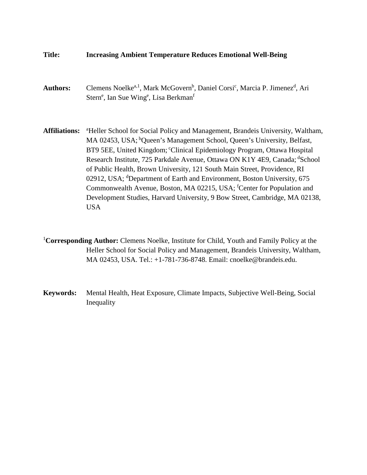## **Title: Increasing Ambient Temperature Reduces Emotional Well-Being**

- Authors: Clemens Noelke<sup>a, 1</sup>, Mark McGovern<sup>b</sup>, Daniel Corsi<sup>c</sup>, Marcia P. Jimenez<sup>d</sup>, Ari Stern<sup>e</sup>, Ian Sue Wing<sup>e</sup>, Lisa Berkman<sup>f</sup>
- Affiliations: <sup>a</sup>Heller School for Social Policy and Management, Brandeis University, Waltham, MA 02453, USA; <sup>b</sup>Queen's Management School, Queen's University, Belfast, BT9 5EE, United Kingdom; "Clinical Epidemiology Program, Ottawa Hospital Research Institute, 725 Parkdale Avenue, Ottawa ON K1Y 4E9, Canada; dSchool of Public Health, Brown University, 121 South Main Street, Providence, RI 02912, USA; <sup>d</sup>Department of Earth and Environment, Boston University, 675 Commonwealth Avenue, Boston, MA 02215, USA; <sup>f</sup>Center for Population and Development Studies, Harvard University, 9 Bow Street, Cambridge, MA 02138, USA
- <sup>1</sup>Corresponding Author: Clemens Noelke, Institute for Child, Youth and Family Policy at the Heller School for Social Policy and Management, Brandeis University, Waltham, MA 02453, USA. Tel.: +1-781-736-8748. Email: cnoelke@brandeis.edu.
- **Keywords:** Mental Health, Heat Exposure, Climate Impacts, Subjective Well-Being, Social Inequality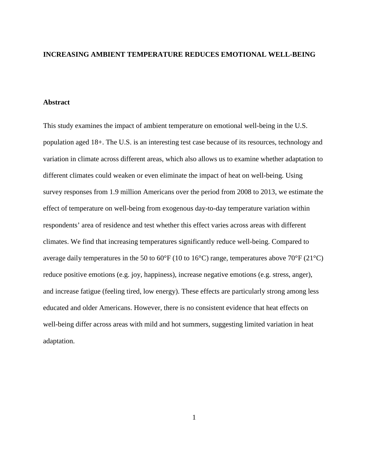### **INCREASING AMBIENT TEMPERATURE REDUCES EMOTIONAL WELL-BEING**

### **Abstract**

This study examines the impact of ambient temperature on emotional well-being in the U.S. population aged 18+. The U.S. is an interesting test case because of its resources, technology and variation in climate across different areas, which also allows us to examine whether adaptation to different climates could weaken or even eliminate the impact of heat on well-being. Using survey responses from 1.9 million Americans over the period from 2008 to 2013, we estimate the effect of temperature on well-being from exogenous day-to-day temperature variation within respondents' area of residence and test whether this effect varies across areas with different climates. We find that increasing temperatures significantly reduce well-being. Compared to average daily temperatures in the 50 to 60°F (10 to 16°C) range, temperatures above 70°F (21°C) reduce positive emotions (e.g. joy, happiness), increase negative emotions (e.g. stress, anger), and increase fatigue (feeling tired, low energy). These effects are particularly strong among less educated and older Americans. However, there is no consistent evidence that heat effects on well-being differ across areas with mild and hot summers, suggesting limited variation in heat adaptation.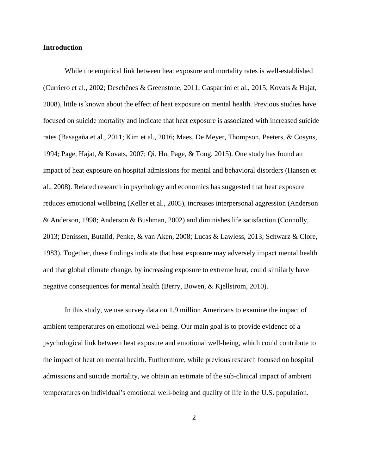### **Introduction**

While the empirical link between heat exposure and mortality rates is well-established (Curriero et al., 2002; Deschênes & Greenstone, 2011; Gasparrini et al., 2015; Kovats & Hajat, 2008), little is known about the effect of heat exposure on mental health. Previous studies have focused on suicide mortality and indicate that heat exposure is associated with increased suicide rates (Basagaña et al., 2011; Kim et al., 2016; Maes, De Meyer, Thompson, Peeters, & Cosyns, 1994; Page, Hajat, & Kovats, 2007; Qi, Hu, Page, & Tong, 2015). One study has found an impact of heat exposure on hospital admissions for mental and behavioral disorders (Hansen et al., 2008). Related research in psychology and economics has suggested that heat exposure reduces emotional wellbeing (Keller et al., 2005), increases interpersonal aggression (Anderson & Anderson, 1998; Anderson & Bushman, 2002) and diminishes life satisfaction (Connolly, 2013; Denissen, Butalid, Penke, & van Aken, 2008; Lucas & Lawless, 2013; Schwarz & Clore, 1983). Together, these findings indicate that heat exposure may adversely impact mental health and that global climate change, by increasing exposure to extreme heat, could similarly have negative consequences for mental health (Berry, Bowen, & Kjellstrom, 2010).

In this study, we use survey data on 1.9 million Americans to examine the impact of ambient temperatures on emotional well-being. Our main goal is to provide evidence of a psychological link between heat exposure and emotional well-being, which could contribute to the impact of heat on mental health. Furthermore, while previous research focused on hospital admissions and suicide mortality, we obtain an estimate of the sub-clinical impact of ambient temperatures on individual's emotional well-being and quality of life in the U.S. population.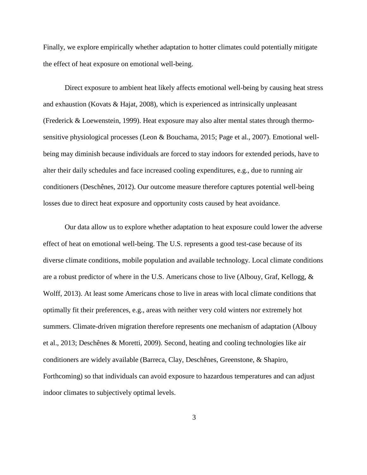Finally, we explore empirically whether adaptation to hotter climates could potentially mitigate the effect of heat exposure on emotional well-being.

Direct exposure to ambient heat likely affects emotional well-being by causing heat stress and exhaustion (Kovats  $\&$  Hajat, 2008), which is experienced as intrinsically unpleasant (Frederick & Loewenstein, 1999). Heat exposure may also alter mental states through thermosensitive physiological processes (Leon & Bouchama, 2015; Page et al., 2007). Emotional wellbeing may diminish because individuals are forced to stay indoors for extended periods, have to alter their daily schedules and face increased cooling expenditures, e.g., due to running air conditioners (Deschênes, 2012). Our outcome measure therefore captures potential well-being losses due to direct heat exposure and opportunity costs caused by heat avoidance.

Our data allow us to explore whether adaptation to heat exposure could lower the adverse effect of heat on emotional well-being. The U.S. represents a good test-case because of its diverse climate conditions, mobile population and available technology. Local climate conditions are a robust predictor of where in the U.S. Americans chose to live (Albouy, Graf, Kellogg, & Wolff, 2013). At least some Americans chose to live in areas with local climate conditions that optimally fit their preferences, e.g., areas with neither very cold winters nor extremely hot summers. Climate-driven migration therefore represents one mechanism of adaptation (Albouy et al., 2013; Deschênes & Moretti, 2009). Second, heating and cooling technologies like air conditioners are widely available (Barreca, Clay, Deschênes, Greenstone, & Shapiro, Forthcoming) so that individuals can avoid exposure to hazardous temperatures and can adjust indoor climates to subjectively optimal levels.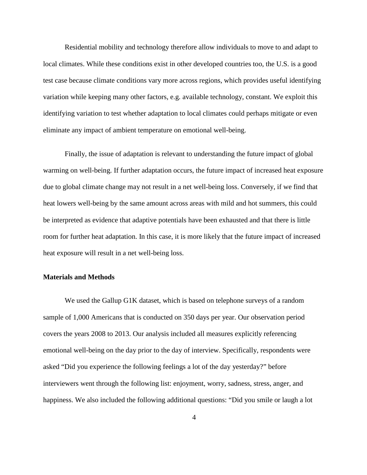Residential mobility and technology therefore allow individuals to move to and adapt to local climates. While these conditions exist in other developed countries too, the U.S. is a good test case because climate conditions vary more across regions, which provides useful identifying variation while keeping many other factors, e.g. available technology, constant. We exploit this identifying variation to test whether adaptation to local climates could perhaps mitigate or even eliminate any impact of ambient temperature on emotional well-being.

Finally, the issue of adaptation is relevant to understanding the future impact of global warming on well-being. If further adaptation occurs, the future impact of increased heat exposure due to global climate change may not result in a net well-being loss. Conversely, if we find that heat lowers well-being by the same amount across areas with mild and hot summers, this could be interpreted as evidence that adaptive potentials have been exhausted and that there is little room for further heat adaptation. In this case, it is more likely that the future impact of increased heat exposure will result in a net well-being loss.

### **Materials and Methods**

We used the Gallup G1K dataset, which is based on telephone surveys of a random sample of 1,000 Americans that is conducted on 350 days per year. Our observation period covers the years 2008 to 2013. Our analysis included all measures explicitly referencing emotional well-being on the day prior to the day of interview. Specifically, respondents were asked "Did you experience the following feelings a lot of the day yesterday?" before interviewers went through the following list: enjoyment, worry, sadness, stress, anger, and happiness. We also included the following additional questions: "Did you smile or laugh a lot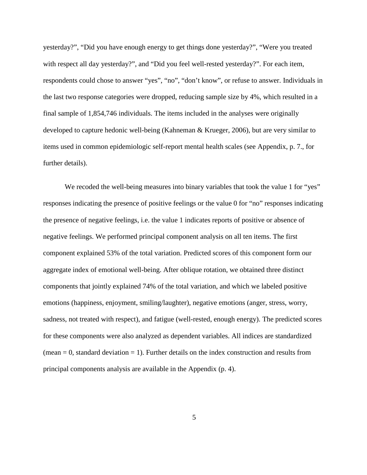yesterday?", "Did you have enough energy to get things done yesterday?", "Were you treated with respect all day yesterday?", and "Did you feel well-rested yesterday?". For each item, respondents could chose to answer "yes", "no", "don't know", or refuse to answer. Individuals in the last two response categories were dropped, reducing sample size by 4%, which resulted in a final sample of 1,854,746 individuals. The items included in the analyses were originally developed to capture hedonic well-being (Kahneman & Krueger, 2006), but are very similar to items used in common epidemiologic self-report mental health scales (see Appendix, p. 7., for further details).

We recoded the well-being measures into binary variables that took the value 1 for "yes" responses indicating the presence of positive feelings or the value 0 for "no" responses indicating the presence of negative feelings, i.e. the value 1 indicates reports of positive or absence of negative feelings. We performed principal component analysis on all ten items. The first component explained 53% of the total variation. Predicted scores of this component form our aggregate index of emotional well-being. After oblique rotation, we obtained three distinct components that jointly explained 74% of the total variation, and which we labeled positive emotions (happiness, enjoyment, smiling/laughter), negative emotions (anger, stress, worry, sadness, not treated with respect), and fatigue (well-rested, enough energy). The predicted scores for these components were also analyzed as dependent variables. All indices are standardized  $(mean = 0, standard deviation = 1)$ . Further details on the index construction and results from principal components analysis are available in the Appendix (p. 4).

5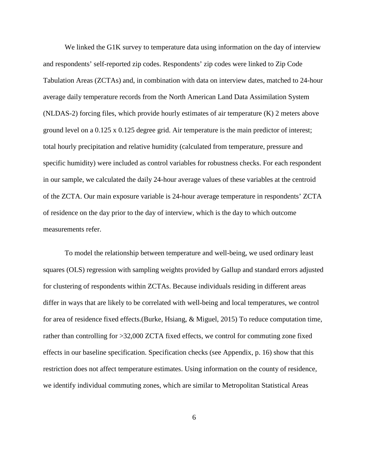We linked the G1K survey to temperature data using information on the day of interview and respondents' self-reported zip codes. Respondents' zip codes were linked to Zip Code Tabulation Areas (ZCTAs) and, in combination with data on interview dates, matched to 24-hour average daily temperature records from the North American Land Data Assimilation System (NLDAS-2) forcing files, which provide hourly estimates of air temperature (K) 2 meters above ground level on a 0.125 x 0.125 degree grid. Air temperature is the main predictor of interest; total hourly precipitation and relative humidity (calculated from temperature, pressure and specific humidity) were included as control variables for robustness checks. For each respondent in our sample, we calculated the daily 24-hour average values of these variables at the centroid of the ZCTA. Our main exposure variable is 24-hour average temperature in respondents' ZCTA of residence on the day prior to the day of interview, which is the day to which outcome measurements refer.

To model the relationship between temperature and well-being, we used ordinary least squares (OLS) regression with sampling weights provided by Gallup and standard errors adjusted for clustering of respondents within ZCTAs. Because individuals residing in different areas differ in ways that are likely to be correlated with well-being and local temperatures, we control for area of residence fixed effects.(Burke, Hsiang, & Miguel, 2015) To reduce computation time, rather than controlling for >32,000 ZCTA fixed effects, we control for commuting zone fixed effects in our baseline specification. Specification checks (see Appendix, p. 16) show that this restriction does not affect temperature estimates. Using information on the county of residence, we identify individual commuting zones, which are similar to Metropolitan Statistical Areas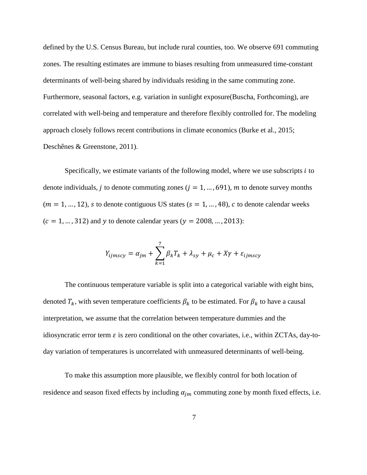defined by the U.S. Census Bureau, but include rural counties, too. We observe 691 commuting zones. The resulting estimates are immune to biases resulting from unmeasured time-constant determinants of well-being shared by individuals residing in the same commuting zone. Furthermore, seasonal factors, e.g. variation in sunlight exposure(Buscha, Forthcoming), are correlated with well-being and temperature and therefore flexibly controlled for. The modeling approach closely follows recent contributions in climate economics (Burke et al., 2015; Deschênes & Greenstone, 2011).

Specifically, we estimate variants of the following model, where we use subscripts  $i$  to denote individuals, *j* to denote commuting zones ( $j = 1, ..., 691$ ), *m* to denote survey months  $(m = 1, ..., 12)$ , s to denote contiguous US states  $(s = 1, ..., 48)$ , c to denote calendar weeks  $(c = 1, ..., 312)$  and y to denote calendar years  $(y = 2008, ..., 2013)$ :

$$
Y_{ijmscy} = \alpha_{jm} + \sum_{k=1}^{7} \beta_k T_k + \lambda_{sy} + \mu_c + X\gamma + \varepsilon_{ijmscy}
$$

The continuous temperature variable is split into a categorical variable with eight bins, denoted  $T_k$ , with seven temperature coefficients  $\beta_k$  to be estimated. For  $\beta_k$  to have a causal interpretation, we assume that the correlation between temperature dummies and the idiosyncratic error term  $\varepsilon$  is zero conditional on the other covariates, i.e., within ZCTAs, day-today variation of temperatures is uncorrelated with unmeasured determinants of well-being.

To make this assumption more plausible, we flexibly control for both location of residence and season fixed effects by including  $\alpha_{im}$  commuting zone by month fixed effects, i.e.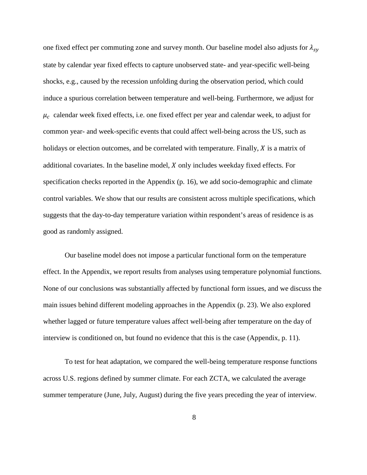one fixed effect per commuting zone and survey month. Our baseline model also adjusts for  $\lambda_{sv}$ state by calendar year fixed effects to capture unobserved state- and year-specific well-being shocks, e.g., caused by the recession unfolding during the observation period, which could induce a spurious correlation between temperature and well-being. Furthermore, we adjust for  $\mu_c$  calendar week fixed effects, i.e. one fixed effect per year and calendar week, to adjust for common year- and week-specific events that could affect well-being across the US, such as holidays or election outcomes, and be correlated with temperature. Finally,  $X$  is a matrix of additional covariates. In the baseline model,  $X$  only includes weekday fixed effects. For specification checks reported in the Appendix (p. 16), we add socio-demographic and climate control variables. We show that our results are consistent across multiple specifications, which suggests that the day-to-day temperature variation within respondent's areas of residence is as good as randomly assigned.

Our baseline model does not impose a particular functional form on the temperature effect. In the Appendix, we report results from analyses using temperature polynomial functions. None of our conclusions was substantially affected by functional form issues, and we discuss the main issues behind different modeling approaches in the Appendix (p. 23). We also explored whether lagged or future temperature values affect well-being after temperature on the day of interview is conditioned on, but found no evidence that this is the case (Appendix, p. 11).

To test for heat adaptation, we compared the well-being temperature response functions across U.S. regions defined by summer climate. For each ZCTA, we calculated the average summer temperature (June, July, August) during the five years preceding the year of interview.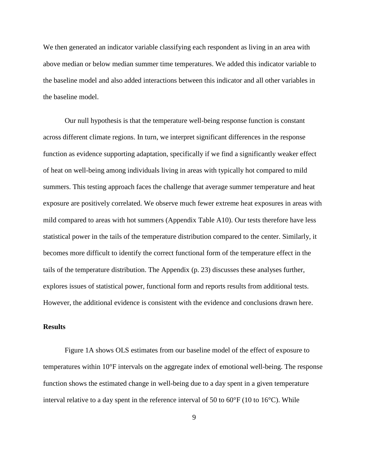We then generated an indicator variable classifying each respondent as living in an area with above median or below median summer time temperatures. We added this indicator variable to the baseline model and also added interactions between this indicator and all other variables in the baseline model.

Our null hypothesis is that the temperature well-being response function is constant across different climate regions. In turn, we interpret significant differences in the response function as evidence supporting adaptation, specifically if we find a significantly weaker effect of heat on well-being among individuals living in areas with typically hot compared to mild summers. This testing approach faces the challenge that average summer temperature and heat exposure are positively correlated. We observe much fewer extreme heat exposures in areas with mild compared to areas with hot summers (Appendix Table A10). Our tests therefore have less statistical power in the tails of the temperature distribution compared to the center. Similarly, it becomes more difficult to identify the correct functional form of the temperature effect in the tails of the temperature distribution. The Appendix (p. 23) discusses these analyses further, explores issues of statistical power, functional form and reports results from additional tests. However, the additional evidence is consistent with the evidence and conclusions drawn here.

## **Results**

Figure 1A shows OLS estimates from our baseline model of the effect of exposure to temperatures within 10°F intervals on the aggregate index of emotional well-being. The response function shows the estimated change in well-being due to a day spent in a given temperature interval relative to a day spent in the reference interval of 50 to  $60^{\circ}F(10 \text{ to } 16^{\circ}C)$ . While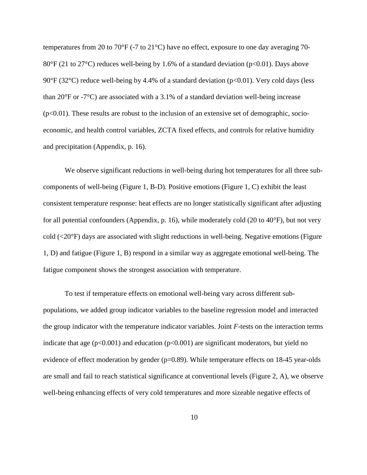temperatures from 20 to 70°F (-7 to 21°C) have no effect, exposure to one day averaging 70-  $80^{\circ}$ F (21 to 27<sup>o</sup>C) reduces well-being by 1.6% of a standard deviation (p<0.01). Days above 90°F (32°C) reduce well-being by 4.4% of a standard deviation ( $p<0.01$ ). Very cold days (less than 20 $\textdegree$ F or -7 $\textdegree$ C) are associated with a 3.1% of a standard deviation well-being increase  $(p<0.01)$ . These results are robust to the inclusion of an extensive set of demographic, socioeconomic, and health control variables, ZCTA fixed effects, and controls for relative humidity and precipitation (Appendix, p. 16).

We observe significant reductions in well-being during hot temperatures for all three subcomponents of well-being (Figure 1, B-D). Positive emotions (Figure 1, C) exhibit the least consistent temperature response: heat effects are no longer statistically significant after adjusting for all potential confounders (Appendix, p. 16), while moderately cold (20 to 40°F), but not very cold (<20°F) days are associated with slight reductions in well-being. Negative emotions (Figure 1, D) and fatigue (Figure 1, B) respond in a similar way as aggregate emotional well-being. The fatigue component shows the strongest association with temperature.

To test if temperature effects on emotional well-being vary across different subpopulations, we added group indicator variables to the baseline regression model and interacted the group indicator with the temperature indicator variables. Joint *F*-tests on the interaction terms indicate that age  $(p<0.001)$  and education  $(p<0.001)$  are significant moderators, but yield no evidence of effect moderation by gender  $(p=0.89)$ . While temperature effects on 18-45 year-olds are small and fail to reach statistical significance at conventional levels (Figure 2, A), we observe well-being enhancing effects of very cold temperatures and more sizeable negative effects of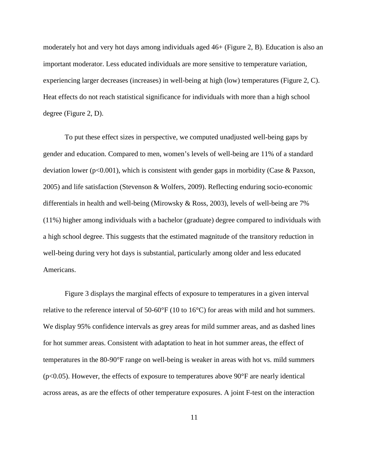moderately hot and very hot days among individuals aged 46+ (Figure 2, B). Education is also an important moderator. Less educated individuals are more sensitive to temperature variation, experiencing larger decreases (increases) in well-being at high (low) temperatures (Figure 2, C). Heat effects do not reach statistical significance for individuals with more than a high school degree (Figure 2, D).

To put these effect sizes in perspective, we computed unadjusted well-being gaps by gender and education. Compared to men, women's levels of well-being are 11% of a standard deviation lower ( $p<0.001$ ), which is consistent with gender gaps in morbidity (Case & Paxson, 2005) and life satisfaction (Stevenson & Wolfers, 2009). Reflecting enduring socio-economic differentials in health and well-being (Mirowsky & Ross, 2003), levels of well-being are 7% (11%) higher among individuals with a bachelor (graduate) degree compared to individuals with a high school degree. This suggests that the estimated magnitude of the transitory reduction in well-being during very hot days is substantial, particularly among older and less educated Americans.

Figure 3 displays the marginal effects of exposure to temperatures in a given interval relative to the reference interval of 50-60°F (10 to 16°C) for areas with mild and hot summers. We display 95% confidence intervals as grey areas for mild summer areas, and as dashed lines for hot summer areas. Consistent with adaptation to heat in hot summer areas, the effect of temperatures in the 80-90°F range on well-being is weaker in areas with hot vs. mild summers  $(p<0.05)$ . However, the effects of exposure to temperatures above 90 $\degree$ F are nearly identical across areas, as are the effects of other temperature exposures. A joint F-test on the interaction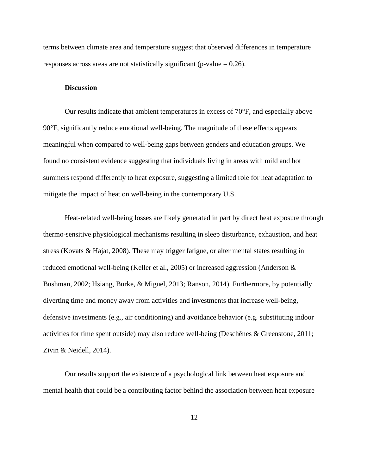terms between climate area and temperature suggest that observed differences in temperature responses across areas are not statistically significant (p-value  $= 0.26$ ).

#### **Discussion**

Our results indicate that ambient temperatures in excess of 70°F, and especially above 90°F, significantly reduce emotional well-being. The magnitude of these effects appears meaningful when compared to well-being gaps between genders and education groups. We found no consistent evidence suggesting that individuals living in areas with mild and hot summers respond differently to heat exposure, suggesting a limited role for heat adaptation to mitigate the impact of heat on well-being in the contemporary U.S.

Heat-related well-being losses are likely generated in part by direct heat exposure through thermo-sensitive physiological mechanisms resulting in sleep disturbance, exhaustion, and heat stress (Kovats & Hajat, 2008). These may trigger fatigue, or alter mental states resulting in reduced emotional well-being (Keller et al., 2005) or increased aggression (Anderson & Bushman, 2002; Hsiang, Burke, & Miguel, 2013; Ranson, 2014). Furthermore, by potentially diverting time and money away from activities and investments that increase well-being, defensive investments (e.g., air conditioning) and avoidance behavior (e.g. substituting indoor activities for time spent outside) may also reduce well-being (Deschênes & Greenstone, 2011; Zivin & Neidell, 2014).

Our results support the existence of a psychological link between heat exposure and mental health that could be a contributing factor behind the association between heat exposure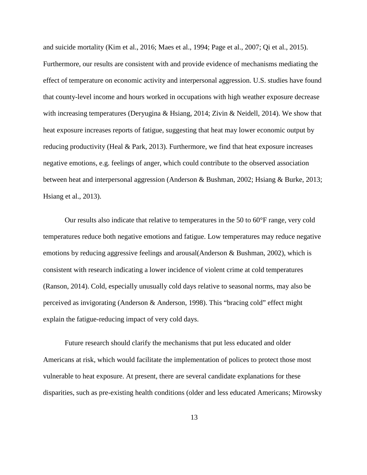and suicide mortality (Kim et al., 2016; Maes et al., 1994; Page et al., 2007; Qi et al., 2015). Furthermore, our results are consistent with and provide evidence of mechanisms mediating the effect of temperature on economic activity and interpersonal aggression. U.S. studies have found that county-level income and hours worked in occupations with high weather exposure decrease with increasing temperatures (Deryugina & Hsiang, 2014; Zivin & Neidell, 2014). We show that heat exposure increases reports of fatigue, suggesting that heat may lower economic output by reducing productivity (Heal & Park, 2013). Furthermore, we find that heat exposure increases negative emotions, e.g. feelings of anger, which could contribute to the observed association between heat and interpersonal aggression (Anderson & Bushman, 2002; Hsiang & Burke, 2013; Hsiang et al., 2013).

Our results also indicate that relative to temperatures in the 50 to 60°F range, very cold temperatures reduce both negative emotions and fatigue. Low temperatures may reduce negative emotions by reducing aggressive feelings and arousal(Anderson & Bushman, 2002), which is consistent with research indicating a lower incidence of violent crime at cold temperatures (Ranson, 2014). Cold, especially unusually cold days relative to seasonal norms, may also be perceived as invigorating (Anderson & Anderson, 1998). This "bracing cold" effect might explain the fatigue-reducing impact of very cold days.

Future research should clarify the mechanisms that put less educated and older Americans at risk, which would facilitate the implementation of polices to protect those most vulnerable to heat exposure. At present, there are several candidate explanations for these disparities, such as pre-existing health conditions (older and less educated Americans; Mirowsky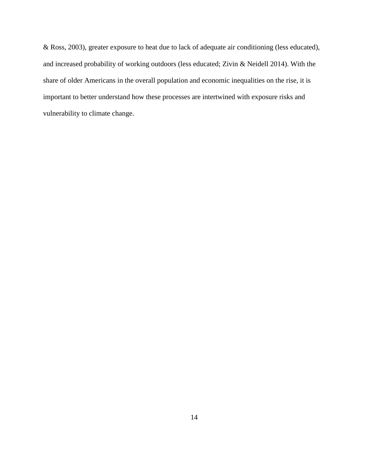& Ross, 2003), greater exposure to heat due to lack of adequate air conditioning (less educated), and increased probability of working outdoors (less educated; Zivin & Neidell 2014). With the share of older Americans in the overall population and economic inequalities on the rise, it is important to better understand how these processes are intertwined with exposure risks and vulnerability to climate change.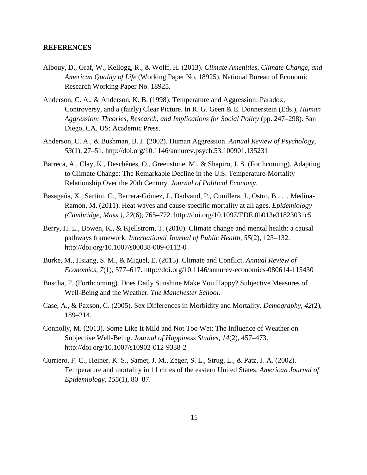### **REFERENCES**

- Albouy, D., Graf, W., Kellogg, R., & Wolff, H. (2013). *Climate Amenities, Climate Change, and American Quality of Life* (Working Paper No. 18925). National Bureau of Economic Research Working Paper No. 18925.
- Anderson, C. A., & Anderson, K. B. (1998). Temperature and Aggression: Paradox, Controversy, and a (fairly) Clear Picture. In R. G. Geen & E. Donnerstein (Eds.), *Human Aggression: Theories, Research, and Implications for Social Policy* (pp. 247–298). San Diego, CA, US: Academic Press.
- Anderson, C. A., & Bushman, B. J. (2002). Human Aggression. *Annual Review of Psychology*, *53*(1), 27–51. http://doi.org/10.1146/annurev.psych.53.100901.135231
- Barreca, A., Clay, K., Deschênes, O., Greenstone, M., & Shapiro, J. S. (Forthcoming). Adapting to Climate Change: The Remarkable Decline in the U.S. Temperature-Mortality Relationship Over the 20th Century. *Journal of Political Economy*.
- Basagaña, X., Sartini, C., Barrera-Gómez, J., Dadvand, P., Cunillera, J., Ostro, B., … Medina-Ramón, M. (2011). Heat waves and cause-specific mortality at all ages. *Epidemiology (Cambridge, Mass.)*, *22*(6), 765–772. http://doi.org/10.1097/EDE.0b013e31823031c5
- Berry, H. L., Bowen, K., & Kjellstrom, T. (2010). Climate change and mental health: a causal pathways framework. *International Journal of Public Health*, *55*(2), 123–132. http://doi.org/10.1007/s00038-009-0112-0
- Burke, M., Hsiang, S. M., & Miguel, E. (2015). Climate and Conflict. *Annual Review of Economics*, *7*(1), 577–617. http://doi.org/10.1146/annurev-economics-080614-115430
- Buscha, F. (Forthcoming). Does Daily Sunshine Make You Happy? Subjective Measures of Well-Being and the Weather. *The Manchester School*.
- Case, A., & Paxson, C. (2005). Sex Differences in Morbidity and Mortality. *Demography*, *42*(2), 189–214.
- Connolly, M. (2013). Some Like It Mild and Not Too Wet: The Influence of Weather on Subjective Well-Being. *Journal of Happiness Studies*, *14*(2), 457–473. http://doi.org/10.1007/s10902-012-9338-2
- Curriero, F. C., Heiner, K. S., Samet, J. M., Zeger, S. L., Strug, L., & Patz, J. A. (2002). Temperature and mortality in 11 cities of the eastern United States. *American Journal of Epidemiology*, *155*(1), 80–87.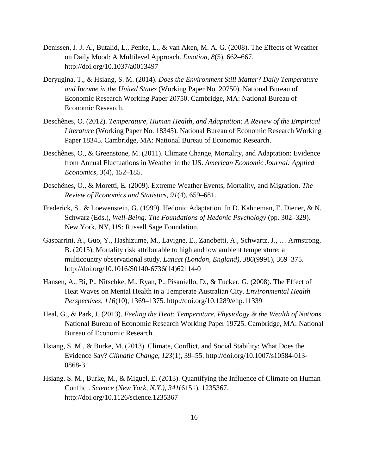- Denissen, J. J. A., Butalid, L., Penke, L., & van Aken, M. A. G. (2008). The Effects of Weather on Daily Mood: A Multilevel Approach. *Emotion*, *8*(5), 662–667. http://doi.org/10.1037/a0013497
- Deryugina, T., & Hsiang, S. M. (2014). *Does the Environment Still Matter? Daily Temperature and Income in the United States* (Working Paper No. 20750). National Bureau of Economic Research Working Paper 20750. Cambridge, MA: National Bureau of Economic Research.
- Deschênes, O. (2012). *Temperature, Human Health, and Adaptation: A Review of the Empirical Literature* (Working Paper No. 18345). National Bureau of Economic Research Working Paper 18345. Cambridge, MA: National Bureau of Economic Research.
- Deschênes, O., & Greenstone, M. (2011). Climate Change, Mortality, and Adaptation: Evidence from Annual Fluctuations in Weather in the US. *American Economic Journal: Applied Economics*, *3*(4), 152–185.
- Deschênes, O., & Moretti, E. (2009). Extreme Weather Events, Mortality, and Migration. *The Review of Economics and Statistics*, *91*(4), 659–681.
- Frederick, S., & Loewenstein, G. (1999). Hedonic Adaptation. In D. Kahneman, E. Diener, & N. Schwarz (Eds.), *Well-Being: The Foundations of Hedonic Psychology* (pp. 302–329). New York, NY, US: Russell Sage Foundation.
- Gasparrini, A., Guo, Y., Hashizume, M., Lavigne, E., Zanobetti, A., Schwartz, J., … Armstrong, B. (2015). Mortality risk attributable to high and low ambient temperature: a multicountry observational study. *Lancet (London, England)*, *386*(9991), 369–375. http://doi.org/10.1016/S0140-6736(14)62114-0
- Hansen, A., Bi, P., Nitschke, M., Ryan, P., Pisaniello, D., & Tucker, G. (2008). The Effect of Heat Waves on Mental Health in a Temperate Australian City. *Environmental Health Perspectives*, *116*(10), 1369–1375. http://doi.org/10.1289/ehp.11339
- Heal, G., & Park, J. (2013). *Feeling the Heat: Temperature, Physiology & the Wealth of Nations*. National Bureau of Economic Research Working Paper 19725. Cambridge, MA: National Bureau of Economic Research.
- Hsiang, S. M., & Burke, M. (2013). Climate, Conflict, and Social Stability: What Does the Evidence Say? *Climatic Change*, *123*(1), 39–55. http://doi.org/10.1007/s10584-013- 0868-3
- Hsiang, S. M., Burke, M., & Miguel, E. (2013). Quantifying the Influence of Climate on Human Conflict. *Science (New York, N.Y.)*, *341*(6151), 1235367. http://doi.org/10.1126/science.1235367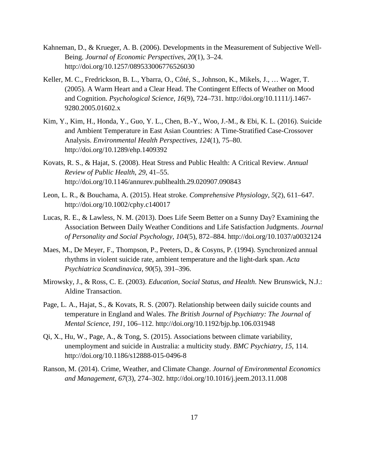- Kahneman, D., & Krueger, A. B. (2006). Developments in the Measurement of Subjective Well-Being. *Journal of Economic Perspectives*, *20*(1), 3–24. http://doi.org/10.1257/089533006776526030
- Keller, M. C., Fredrickson, B. L., Ybarra, O., Côté, S., Johnson, K., Mikels, J., … Wager, T. (2005). A Warm Heart and a Clear Head. The Contingent Effects of Weather on Mood and Cognition. *Psychological Science*, *16*(9), 724–731. http://doi.org/10.1111/j.1467- 9280.2005.01602.x
- Kim, Y., Kim, H., Honda, Y., Guo, Y. L., Chen, B.-Y., Woo, J.-M., & Ebi, K. L. (2016). Suicide and Ambient Temperature in East Asian Countries: A Time-Stratified Case-Crossover Analysis. *Environmental Health Perspectives*, *124*(1), 75–80. http://doi.org/10.1289/ehp.1409392
- Kovats, R. S., & Hajat, S. (2008). Heat Stress and Public Health: A Critical Review. *Annual Review of Public Health*, *29*, 41–55. http://doi.org/10.1146/annurev.publhealth.29.020907.090843
- Leon, L. R., & Bouchama, A. (2015). Heat stroke. *Comprehensive Physiology*, *5*(2), 611–647. http://doi.org/10.1002/cphy.c140017
- Lucas, R. E., & Lawless, N. M. (2013). Does Life Seem Better on a Sunny Day? Examining the Association Between Daily Weather Conditions and Life Satisfaction Judgments. *Journal of Personality and Social Psychology*, *104*(5), 872–884. http://doi.org/10.1037/a0032124
- Maes, M., De Meyer, F., Thompson, P., Peeters, D., & Cosyns, P. (1994). Synchronized annual rhythms in violent suicide rate, ambient temperature and the light-dark span. *Acta Psychiatrica Scandinavica*, *90*(5), 391–396.
- Mirowsky, J., & Ross, C. E. (2003). *Education, Social Status, and Health*. New Brunswick, N.J.: Aldine Transaction.
- Page, L. A., Hajat, S., & Kovats, R. S. (2007). Relationship between daily suicide counts and temperature in England and Wales. *The British Journal of Psychiatry: The Journal of Mental Science*, *191*, 106–112. http://doi.org/10.1192/bjp.bp.106.031948
- Qi, X., Hu, W., Page, A., & Tong, S. (2015). Associations between climate variability, unemployment and suicide in Australia: a multicity study. *BMC Psychiatry*, *15*, 114. http://doi.org/10.1186/s12888-015-0496-8
- Ranson, M. (2014). Crime, Weather, and Climate Change. *Journal of Environmental Economics and Management*, *67*(3), 274–302. http://doi.org/10.1016/j.jeem.2013.11.008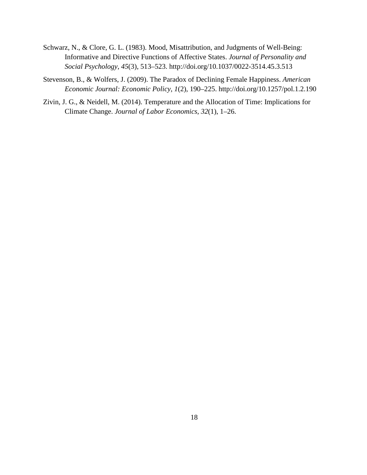- Schwarz, N., & Clore, G. L. (1983). Mood, Misattribution, and Judgments of Well-Being: Informative and Directive Functions of Affective States. *Journal of Personality and Social Psychology*, *45*(3), 513–523. http://doi.org/10.1037/0022-3514.45.3.513
- Stevenson, B., & Wolfers, J. (2009). The Paradox of Declining Female Happiness. *American Economic Journal: Economic Policy*, *1*(2), 190–225. http://doi.org/10.1257/pol.1.2.190
- Zivin, J. G., & Neidell, M. (2014). Temperature and the Allocation of Time: Implications for Climate Change. *Journal of Labor Economics*, *32*(1), 1–26.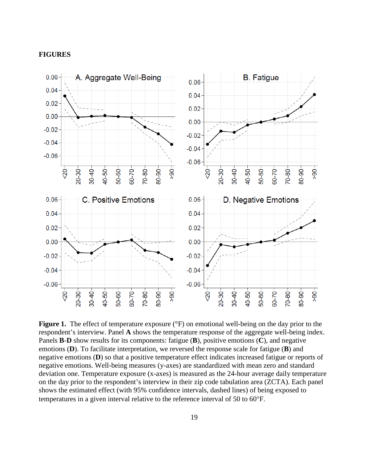### **FIGURES**



**Figure 1.** The effect of temperature exposure ( ${}^{\circ}$ F) on emotional well-being on the day prior to the respondent's interview. Panel **A** shows the temperature response of the aggregate well-being index. Panels **B**-**D** show results for its components: fatigue (**B**), positive emotions (**C**), and negative emotions (**D**). To facilitate interpretation, we reversed the response scale for fatigue (**B**) and negative emotions (**D**) so that a positive temperature effect indicates increased fatigue or reports of negative emotions. Well-being measures (y-axes) are standardized with mean zero and standard deviation one. Temperature exposure (x-axes) is measured as the 24-hour average daily temperature on the day prior to the respondent's interview in their zip code tabulation area (ZCTA). Each panel shows the estimated effect (with 95% confidence intervals, dashed lines) of being exposed to temperatures in a given interval relative to the reference interval of 50 to 60°F.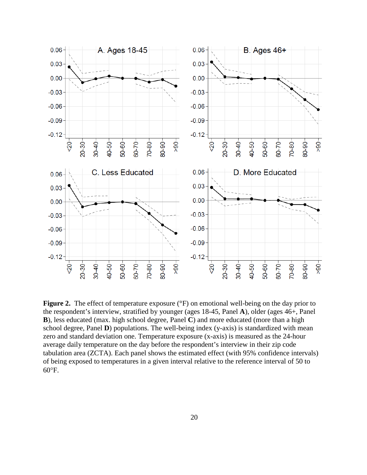

**Figure 2.** The effect of temperature exposure (°F) on emotional well-being on the day prior to the respondent's interview, stratified by younger (ages 18-45, Panel **A**), older (ages 46+, Panel **B**), less educated (max. high school degree, Panel **C**) and more educated (more than a high school degree, Panel **D**) populations. The well-being index (y-axis) is standardized with mean zero and standard deviation one. Temperature exposure (x-axis) is measured as the 24-hour average daily temperature on the day before the respondent's interview in their zip code tabulation area (ZCTA). Each panel shows the estimated effect (with 95% confidence intervals) of being exposed to temperatures in a given interval relative to the reference interval of 50 to  $60^{\circ}$ F.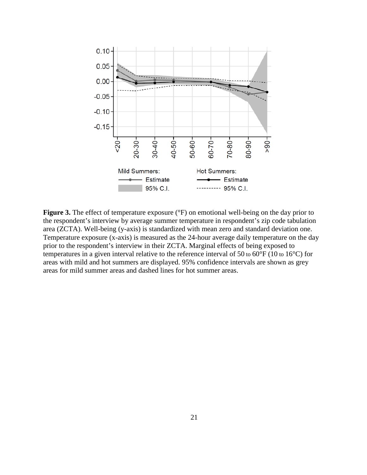

**Figure 3.** The effect of temperature exposure ( ${}^{\circ}$ F) on emotional well-being on the day prior to the respondent's interview by average summer temperature in respondent's zip code tabulation area (ZCTA). Well-being (y-axis) is standardized with mean zero and standard deviation one. Temperature exposure (x-axis) is measured as the 24-hour average daily temperature on the day prior to the respondent's interview in their ZCTA. Marginal effects of being exposed to temperatures in a given interval relative to the reference interval of 50 to 60°F (10 to 16°C) for areas with mild and hot summers are displayed. 95% confidence intervals are shown as grey areas for mild summer areas and dashed lines for hot summer areas.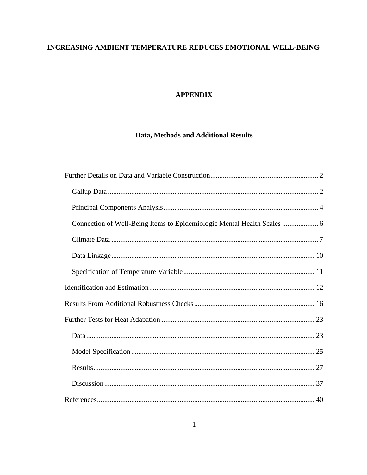# INCREASING AMBIENT TEMPERATURE REDUCES EMOTIONAL WELL-BEING

# **APPENDIX**

# Data, Methods and Additional Results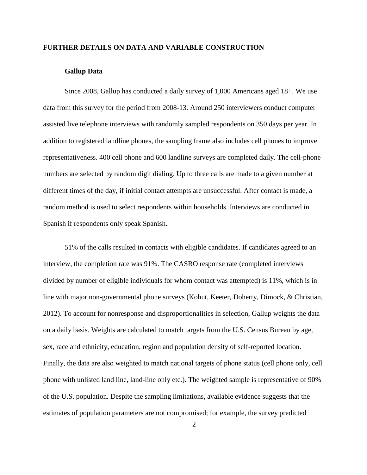# <span id="page-23-0"></span>**FURTHER DETAILS ON DATA AND VARIABLE CONSTRUCTION**

### **Gallup Data**

<span id="page-23-1"></span>Since 2008, Gallup has conducted a daily survey of 1,000 Americans aged 18+. We use data from this survey for the period from 2008-13. Around 250 interviewers conduct computer assisted live telephone interviews with randomly sampled respondents on 350 days per year. In addition to registered landline phones, the sampling frame also includes cell phones to improve representativeness. 400 cell phone and 600 landline surveys are completed daily. The cell-phone numbers are selected by random digit dialing. Up to three calls are made to a given number at different times of the day, if initial contact attempts are unsuccessful. After contact is made, a random method is used to select respondents within households. Interviews are conducted in Spanish if respondents only speak Spanish.

51% of the calls resulted in contacts with eligible candidates. If candidates agreed to an interview, the completion rate was 91%. The CASRO response rate (completed interviews divided by number of eligible individuals for whom contact was attempted) is 11%, which is in line with major non-governmental phone surveys (Kohut, Keeter, Doherty, Dimock, & Christian, 2012). To account for nonresponse and disproportionalities in selection, Gallup weights the data on a daily basis. Weights are calculated to match targets from the U.S. Census Bureau by age, sex, race and ethnicity, education, region and population density of self-reported location. Finally, the data are also weighted to match national targets of phone status (cell phone only, cell phone with unlisted land line, land-line only etc.). The weighted sample is representative of 90% of the U.S. population. Despite the sampling limitations, available evidence suggests that the estimates of population parameters are not compromised; for example, the survey predicted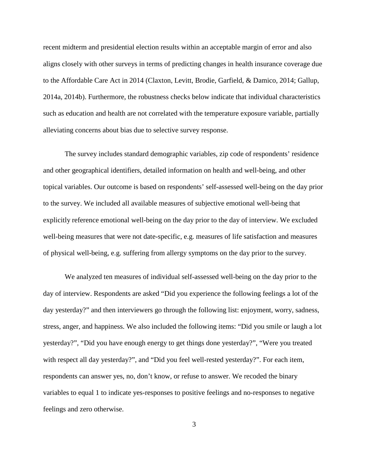recent midterm and presidential election results within an acceptable margin of error and also aligns closely with other surveys in terms of predicting changes in health insurance coverage due to the Affordable Care Act in 2014 (Claxton, Levitt, Brodie, Garfield, & Damico, 2014; Gallup, 2014a, 2014b). Furthermore, the robustness checks below indicate that individual characteristics such as education and health are not correlated with the temperature exposure variable, partially alleviating concerns about bias due to selective survey response.

The survey includes standard demographic variables, zip code of respondents' residence and other geographical identifiers, detailed information on health and well-being, and other topical variables. Our outcome is based on respondents' self-assessed well-being on the day prior to the survey. We included all available measures of subjective emotional well-being that explicitly reference emotional well-being on the day prior to the day of interview. We excluded well-being measures that were not date-specific, e.g. measures of life satisfaction and measures of physical well-being, e.g. suffering from allergy symptoms on the day prior to the survey.

We analyzed ten measures of individual self-assessed well-being on the day prior to the day of interview. Respondents are asked "Did you experience the following feelings a lot of the day yesterday?" and then interviewers go through the following list: enjoyment, worry, sadness, stress, anger, and happiness. We also included the following items: "Did you smile or laugh a lot yesterday?", "Did you have enough energy to get things done yesterday?", "Were you treated with respect all day yesterday?", and "Did you feel well-rested yesterday?". For each item, respondents can answer yes, no, don't know, or refuse to answer. We recoded the binary variables to equal 1 to indicate yes-responses to positive feelings and no-responses to negative feelings and zero otherwise.

3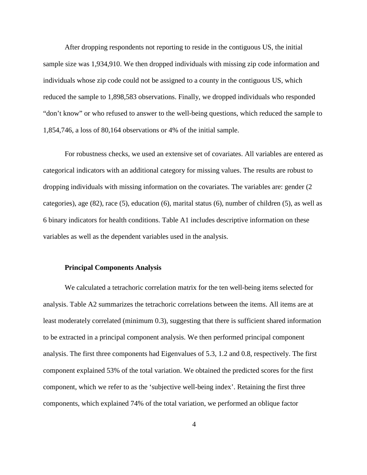After dropping respondents not reporting to reside in the contiguous US, the initial sample size was 1,934,910. We then dropped individuals with missing zip code information and individuals whose zip code could not be assigned to a county in the contiguous US, which reduced the sample to 1,898,583 observations. Finally, we dropped individuals who responded "don't know" or who refused to answer to the well-being questions, which reduced the sample to 1,854,746, a loss of 80,164 observations or 4% of the initial sample.

For robustness checks, we used an extensive set of covariates. All variables are entered as categorical indicators with an additional category for missing values. The results are robust to dropping individuals with missing information on the covariates. The variables are: gender (2 categories), age (82), race (5), education (6), marital status (6), number of children (5), as well as 6 binary indicators for health conditions. Table A1 includes descriptive information on these variables as well as the dependent variables used in the analysis.

### <span id="page-25-0"></span>**Principal Components Analysis**

We calculated a tetrachoric correlation matrix for the ten well-being items selected for analysis. Table A2 summarizes the tetrachoric correlations between the items. All items are at least moderately correlated (minimum 0.3), suggesting that there is sufficient shared information to be extracted in a principal component analysis. We then performed principal component analysis. The first three components had Eigenvalues of 5.3, 1.2 and 0.8, respectively. The first component explained 53% of the total variation. We obtained the predicted scores for the first component, which we refer to as the 'subjective well-being index'. Retaining the first three components, which explained 74% of the total variation, we performed an oblique factor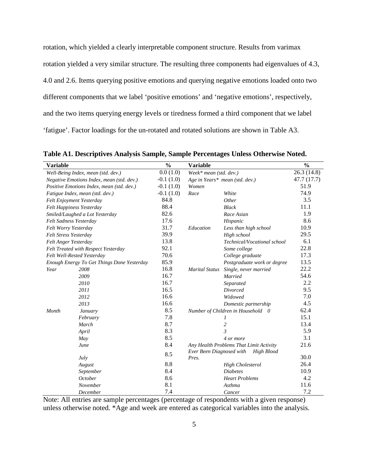rotation, which yielded a clearly interpretable component structure. Results from varimax rotation yielded a very similar structure. The resulting three components had eigenvalues of 4.3, 4.0 and 2.6. Items querying positive emotions and querying negative emotions loaded onto two different components that we label 'positive emotions' and 'negative emotions', respectively, and the two items querying energy levels or tiredness formed a third component that we label 'fatigue'. Factor loadings for the un-rotated and rotated solutions are shown in Table A3.

| Variable              |                                            | $\frac{0}{0}$ | <b>Variable</b>                   |                                         | $\frac{0}{0}$ |
|-----------------------|--------------------------------------------|---------------|-----------------------------------|-----------------------------------------|---------------|
|                       | Well-Being Index, mean (std. dev.)         | 0.0(1.0)      | Week* mean (std. dev.)            |                                         | 26.3 (14.8)   |
|                       | Negative Emotions Index, mean (std. dev.)  | $-0.1(1.0)$   |                                   | Age in Years* mean (std. dev.)          | 47.7 (17.7)   |
|                       | Positive Emotions Index, mean (std. dev.)  | $-0.1(1.0)$   | Women                             |                                         | 51.9          |
|                       | Fatigue Index, mean (std. dev.)            | $-0.1(1.0)$   | Race                              | White                                   | 74.9          |
|                       | Felt Enjoyment Yesterday                   | 84.8          |                                   | Other                                   | 3.5           |
|                       | Felt Happiness Yesterday                   | 88.4          |                                   | <b>Black</b>                            | 11.1          |
|                       | Smiled/Laughed a Lot Yesterday             | 82.6          |                                   | Race Asian                              | 1.9           |
|                       | Felt Sadness Yesterday                     | 17.6          |                                   | Hispanic                                | 8.6           |
| Felt Worry Yesterday  |                                            | 31.7          | Education                         | Less than high school                   | 10.9          |
| Felt Stress Yesterday |                                            | 39.9          |                                   | High school                             | 29.5          |
| Felt Anger Yesterday  |                                            | 13.8          |                                   | Technical/Vocational school             | 6.1           |
|                       | Felt Treated with Respect Yesterday        | 92.1          |                                   | Some college                            | 22.8          |
|                       | Felt Well-Rested Yesterday                 | 70.6          |                                   | College graduate                        | 17.3          |
|                       | Enough Energy To Get Things Done Yesterday | 85.9          |                                   | Postgraduate work or degree             | 13.5          |
| Year                  | 2008                                       | 16.8          | <b>Marital Status</b>             | Single, never married                   | 22.2          |
|                       | 2009                                       | 16.7          |                                   | Married                                 | 54.6          |
|                       | 2010                                       | 16.7          |                                   | Separated                               | 2.2           |
|                       | 2011                                       | 16.5          |                                   | <b>Divorced</b>                         | 9.5           |
|                       | 2012                                       | 16.6          |                                   | Widowed                                 | 7.0           |
|                       | 2013                                       | 16.6          |                                   | Domestic partnership                    | 4.5           |
| Month                 | January                                    | 8.5           |                                   | Number of Children in Household 0       | 62.4          |
|                       | February                                   | 7.8           |                                   | 1                                       | 15.1          |
|                       | March                                      | 8.7           |                                   | $\overline{c}$                          | 13.4          |
|                       | April                                      | 8.3           |                                   | 3                                       | 5.9           |
|                       | May                                        | 8.5           |                                   | 4 or more                               | 3.1           |
|                       | June                                       | 8.4           |                                   | Any Health Problems That Limit Activity | 21.6          |
|                       | July                                       | 8.5           | Ever Been Diagnosed with<br>Pres. | High Blood                              | 30.0          |
|                       | August                                     | 8.8           |                                   | <b>High Cholesterol</b>                 | 26.4          |
|                       | September                                  | 8.4           |                                   | <b>Diabetes</b>                         | 10.9          |
|                       | <b>October</b>                             | 8.6           |                                   | <b>Heart Problems</b>                   | 4.2           |
|                       | November                                   | 8.1           |                                   | Asthma                                  | 11.6          |
|                       | December                                   | 7.4           |                                   | Cancer                                  | 7.2           |

**Table A1. Descriptives Analysis Sample, Sample Percentages Unless Otherwise Noted.**

Note: All entries are sample percentages (percentage of respondents with a given response) unless otherwise noted. \*Age and week are entered as categorical variables into the analysis.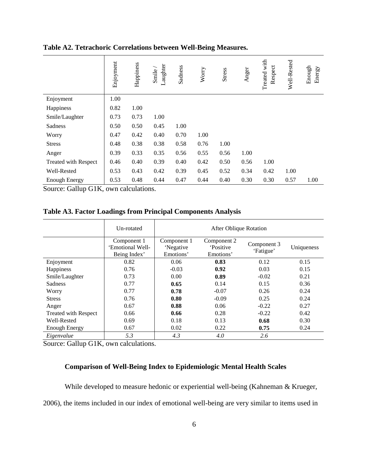|                             | Enjoyment | Happiness | Laughter<br>Smile | Sadness | Worry | Stress | Anger | Treated with<br>Respect | Well-Rested | Enough<br>Energy |
|-----------------------------|-----------|-----------|-------------------|---------|-------|--------|-------|-------------------------|-------------|------------------|
| Enjoyment                   | 1.00      |           |                   |         |       |        |       |                         |             |                  |
| Happiness                   | 0.82      | 1.00      |                   |         |       |        |       |                         |             |                  |
| Smile/Laughter              | 0.73      | 0.73      | 1.00              |         |       |        |       |                         |             |                  |
| Sadness                     | 0.50      | 0.50      | 0.45              | 1.00    |       |        |       |                         |             |                  |
| Worry                       | 0.47      | 0.42      | 0.40              | 0.70    | 1.00  |        |       |                         |             |                  |
| <b>Stress</b>               | 0.48      | 0.38      | 0.38              | 0.58    | 0.76  | 1.00   |       |                         |             |                  |
| Anger                       | 0.39      | 0.33      | 0.35              | 0.56    | 0.55  | 0.56   | 1.00  |                         |             |                  |
| <b>Treated with Respect</b> | 0.46      | 0.40      | 0.39              | 0.40    | 0.42  | 0.50   | 0.56  | 1.00                    |             |                  |
| Well-Rested                 | 0.53      | 0.43      | 0.42              | 0.39    | 0.45  | 0.52   | 0.34  | 0.42                    | 1.00        |                  |
| <b>Enough Energy</b>        | 0.53      | 0.48      | 0.44              | 0.47    | 0.44  | 0.40   | 0.30  | 0.30                    | 0.57        | 1.00             |

# **Table A2. Tetrachoric Correlations between Well-Being Measures.**

Source: Gallup G1K, own calculations.

# **Table A3. Factor Loadings from Principal Components Analysis**

|                             | Un-rotated                                      | After Oblique Rotation                |                                             |                          |            |  |  |
|-----------------------------|-------------------------------------------------|---------------------------------------|---------------------------------------------|--------------------------|------------|--|--|
|                             | Component 1<br>'Emotional Well-<br>Being Index' | Component 1<br>'Negative<br>Emotions' | Component 2<br><b>Positive</b><br>Emotions' | Component 3<br>'Fatigue' | Uniqueness |  |  |
| Enjoyment                   | 0.82                                            | 0.06                                  | 0.83                                        | 0.12                     | 0.15       |  |  |
| Happiness                   | 0.76                                            | $-0.03$                               | 0.92                                        | 0.03                     | 0.15       |  |  |
| Smile/Laughter              | 0.73                                            | 0.00                                  | 0.89                                        | $-0.02$                  | 0.21       |  |  |
| <b>Sadness</b>              | 0.77                                            | 0.65                                  | 0.14                                        | 0.15                     | 0.36       |  |  |
| Worry                       | 0.77                                            | 0.78                                  | $-0.07$                                     | 0.26                     | 0.24       |  |  |
| <b>Stress</b>               | 0.76                                            | 0.80                                  | $-0.09$                                     | 0.25                     | 0.24       |  |  |
| Anger                       | 0.67                                            | 0.88                                  | 0.06                                        | $-0.22$                  | 0.27       |  |  |
| <b>Treated with Respect</b> | 0.66                                            | 0.66                                  | 0.28                                        | $-0.22$                  | 0.42       |  |  |
| Well-Rested                 | 0.69                                            | 0.18                                  | 0.13                                        | 0.68                     | 0.30       |  |  |
| <b>Enough Energy</b>        | 0.67                                            | 0.02                                  | 0.22                                        | 0.75                     | 0.24       |  |  |
| Eigenvalue                  | 5.3                                             | 4.3                                   | 4.0                                         | 2.6                      |            |  |  |

Source: Gallup G1K, own calculations.

# <span id="page-27-0"></span>**Comparison of Well-Being Index to Epidemiologic Mental Health Scales**

While developed to measure hedonic or experiential well-being (Kahneman & Krueger,

2006), the items included in our index of emotional well-being are very similar to items used in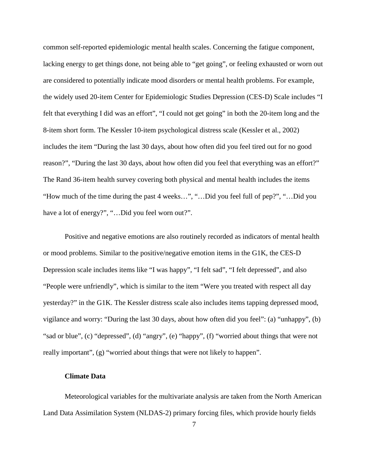common self-reported epidemiologic mental health scales. Concerning the fatigue component, lacking energy to get things done, not being able to "get going", or feeling exhausted or worn out are considered to potentially indicate mood disorders or mental health problems. For example, the widely used 20-item Center for Epidemiologic Studies Depression (CES-D) Scale includes "I felt that everything I did was an effort", "I could not get going" in both the 20-item long and the 8-item short form. The Kessler 10-item psychological distress scale (Kessler et al., 2002) includes the item "During the last 30 days, about how often did you feel tired out for no good reason?", "During the last 30 days, about how often did you feel that everything was an effort?" The Rand 36-item health survey covering both physical and mental health includes the items "How much of the time during the past 4 weeks…", "…Did you feel full of pep?", "…Did you have a lot of energy?", "...Did you feel worn out?".

Positive and negative emotions are also routinely recorded as indicators of mental health or mood problems. Similar to the positive/negative emotion items in the G1K, the CES-D Depression scale includes items like "I was happy", "I felt sad", "I felt depressed", and also "People were unfriendly", which is similar to the item "Were you treated with respect all day yesterday?" in the G1K. The Kessler distress scale also includes items tapping depressed mood, vigilance and worry: "During the last 30 days, about how often did you feel": (a) "unhappy", (b) "sad or blue", (c) "depressed", (d) "angry", (e) "happy", (f) "worried about things that were not really important", (g) "worried about things that were not likely to happen".

### **Climate Data**

<span id="page-28-0"></span>Meteorological variables for the multivariate analysis are taken from the North American Land Data Assimilation System (NLDAS-2) primary forcing files, which provide hourly fields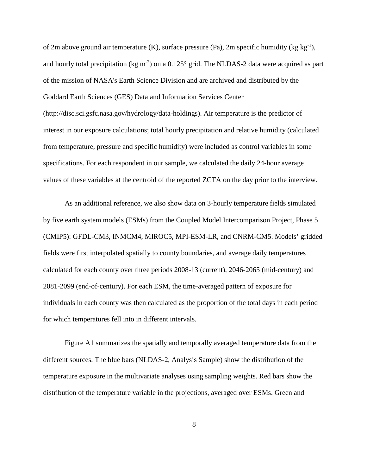of 2m above ground air temperature  $(K)$ , surface pressure  $(Pa)$ , 2m specific humidity  $(kg kg<sup>-1</sup>)$ , and hourly total precipitation (kg m<sup>-2</sup>) on a  $0.125^{\circ}$  grid. The NLDAS-2 data were acquired as part of the mission of NASA's Earth Science Division and are archived and distributed by the Goddard Earth Sciences (GES) Data and Information Services Center (http://disc.sci.gsfc.nasa.gov/hydrology/data-holdings). Air temperature is the predictor of interest in our exposure calculations; total hourly precipitation and relative humidity (calculated from temperature, pressure and specific humidity) were included as control variables in some specifications. For each respondent in our sample, we calculated the daily 24-hour average values of these variables at the centroid of the reported ZCTA on the day prior to the interview.

As an additional reference, we also show data on 3-hourly temperature fields simulated by five earth system models (ESMs) from the Coupled Model Intercomparison Project, Phase 5 (CMIP5): GFDL-CM3, INMCM4, MIROC5, MPI-ESM-LR, and CNRM-CM5. Models' gridded fields were first interpolated spatially to county boundaries, and average daily temperatures calculated for each county over three periods 2008-13 (current), 2046-2065 (mid-century) and 2081-2099 (end-of-century). For each ESM, the time-averaged pattern of exposure for individuals in each county was then calculated as the proportion of the total days in each period for which temperatures fell into in different intervals.

Figure A1 summarizes the spatially and temporally averaged temperature data from the different sources. The blue bars (NLDAS-2, Analysis Sample) show the distribution of the temperature exposure in the multivariate analyses using sampling weights. Red bars show the distribution of the temperature variable in the projections, averaged over ESMs. Green and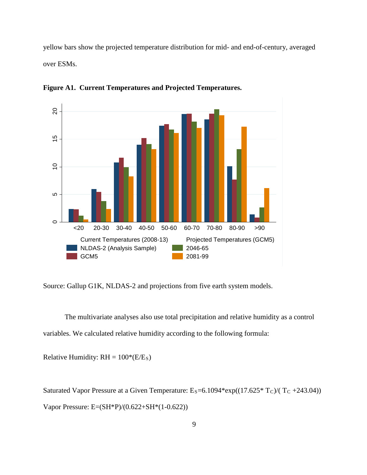yellow bars show the projected temperature distribution for mid- and end-of-century, averaged over ESMs.



**Figure A1. Current Temperatures and Projected Temperatures.**

Source: Gallup G1K, NLDAS-2 and projections from five earth system models.

The multivariate analyses also use total precipitation and relative humidity as a control variables. We calculated relative humidity according to the following formula:

Relative Humidity:  $RH = 100*(E/E<sub>S</sub>)$ 

Saturated Vapor Pressure at a Given Temperature:  $E_S = 6.1094*exp((17.625*T_C)/(T_C + 243.04))$ Vapor Pressure: E=(SH\*P)/(0.622+SH\*(1-0.622))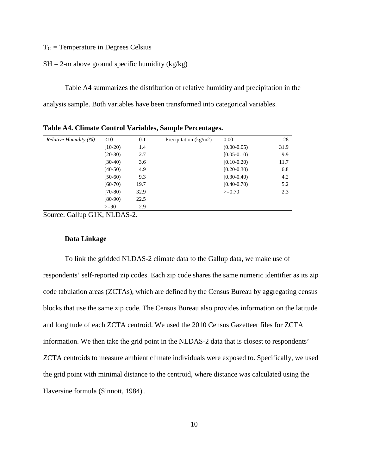$T<sub>C</sub>$  = Temperature in Degrees Celsius

### $SH = 2$ -m above ground specific humidity (kg/kg)

Table A4 summarizes the distribution of relative humidity and precipitation in the analysis sample. Both variables have been transformed into categorical variables.

| <i>Relative Humidity <math>(\%)</math></i> | $<$ 10    | 0.1  | Precipitation $(kg/m2)$ | 0.00            | 28   |
|--------------------------------------------|-----------|------|-------------------------|-----------------|------|
|                                            | $[10-20]$ | 1.4  |                         | $(0.00 - 0.05)$ | 31.9 |
|                                            | $[20-30)$ | 2.7  |                         | $[0.05 - 0.10]$ | 9.9  |
|                                            | $[30-40]$ | 3.6  |                         | $[0.10 - 0.20]$ | 11.7 |
|                                            | $[40-50]$ | 4.9  |                         | $[0.20 - 0.30)$ | 6.8  |
|                                            | $[50-60)$ | 9.3  |                         | $[0.30 - 0.40]$ | 4.2  |
|                                            | $[60-70]$ | 19.7 |                         | $[0.40 - 0.70)$ | 5.2  |
|                                            | $(70-80)$ | 32.9 |                         | $>=0.70$        | 2.3  |
|                                            | $[80-90)$ | 22.5 |                         |                 |      |
|                                            | $>= 90$   | 2.9  |                         |                 |      |

**Table A4. Climate Control Variables, Sample Percentages.**

Source: Gallup G1K, NLDAS-2.

### **Data Linkage**

<span id="page-31-0"></span>To link the gridded NLDAS-2 climate data to the Gallup data, we make use of respondents' self-reported zip codes. Each zip code shares the same numeric identifier as its zip code tabulation areas (ZCTAs), which are defined by the Census Bureau by aggregating census blocks that use the same zip code. The Census Bureau also provides information on the latitude and longitude of each ZCTA centroid. We used the 2010 Census Gazetteer files for ZCTA information. We then take the grid point in the NLDAS-2 data that is closest to respondents' ZCTA centroids to measure ambient climate individuals were exposed to. Specifically, we used the grid point with minimal distance to the centroid, where distance was calculated using the Haversine formula (Sinnott, 1984) .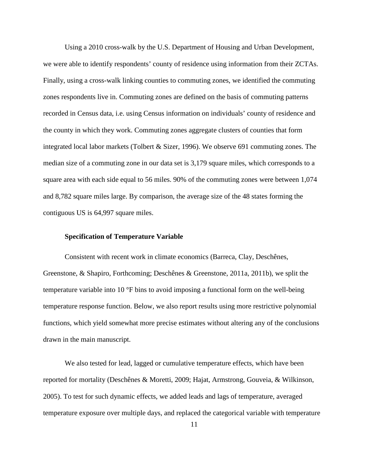Using a 2010 cross-walk by the U.S. Department of Housing and Urban Development, we were able to identify respondents' county of residence using information from their ZCTAs. Finally, using a cross-walk linking counties to commuting zones, we identified the commuting zones respondents live in. Commuting zones are defined on the basis of commuting patterns recorded in Census data, i.e. using Census information on individuals' county of residence and the county in which they work. Commuting zones aggregate clusters of counties that form integrated local labor markets (Tolbert & Sizer, 1996). We observe 691 commuting zones. The median size of a commuting zone in our data set is 3,179 square miles, which corresponds to a square area with each side equal to 56 miles. 90% of the commuting zones were between 1,074 and 8,782 square miles large. By comparison, the average size of the 48 states forming the contiguous US is 64,997 square miles.

### **Specification of Temperature Variable**

<span id="page-32-0"></span>Consistent with recent work in climate economics (Barreca, Clay, Deschênes, Greenstone, & Shapiro, Forthcoming; Deschênes & Greenstone, 2011a, 2011b), we split the temperature variable into 10 °F bins to avoid imposing a functional form on the well-being temperature response function. Below, we also report results using more restrictive polynomial functions, which yield somewhat more precise estimates without altering any of the conclusions drawn in the main manuscript.

We also tested for lead, lagged or cumulative temperature effects, which have been reported for mortality (Deschênes & Moretti, 2009; Hajat, Armstrong, Gouveia, & Wilkinson, 2005). To test for such dynamic effects, we added leads and lags of temperature, averaged temperature exposure over multiple days, and replaced the categorical variable with temperature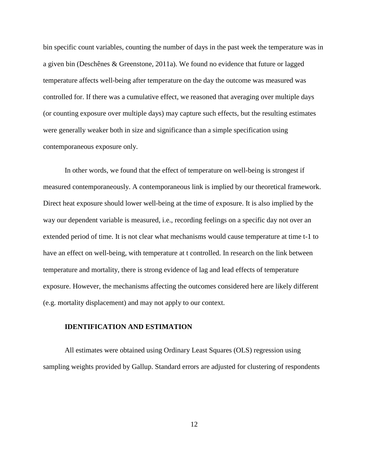bin specific count variables, counting the number of days in the past week the temperature was in a given bin (Deschênes & Greenstone, 2011a). We found no evidence that future or lagged temperature affects well-being after temperature on the day the outcome was measured was controlled for. If there was a cumulative effect, we reasoned that averaging over multiple days (or counting exposure over multiple days) may capture such effects, but the resulting estimates were generally weaker both in size and significance than a simple specification using contemporaneous exposure only.

In other words, we found that the effect of temperature on well-being is strongest if measured contemporaneously. A contemporaneous link is implied by our theoretical framework. Direct heat exposure should lower well-being at the time of exposure. It is also implied by the way our dependent variable is measured, i.e., recording feelings on a specific day not over an extended period of time. It is not clear what mechanisms would cause temperature at time t-1 to have an effect on well-being, with temperature at t controlled. In research on the link between temperature and mortality, there is strong evidence of lag and lead effects of temperature exposure. However, the mechanisms affecting the outcomes considered here are likely different (e.g. mortality displacement) and may not apply to our context.

## <span id="page-33-0"></span>**IDENTIFICATION AND ESTIMATION**

All estimates were obtained using Ordinary Least Squares (OLS) regression using sampling weights provided by Gallup. Standard errors are adjusted for clustering of respondents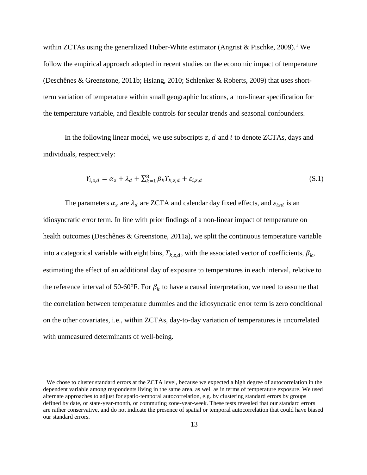within ZCTAs using the generalized Huber-White estimator (Angrist & Pischke, 2009).<sup>[1](#page-34-0)</sup> We follow the empirical approach adopted in recent studies on the economic impact of temperature (Deschênes & Greenstone, 2011b; Hsiang, 2010; Schlenker & Roberts, 2009) that uses shortterm variation of temperature within small geographic locations, a non-linear specification for the temperature variable, and flexible controls for secular trends and seasonal confounders.

In the following linear model, we use subscripts  $z$ ,  $d$  and  $i$  to denote ZCTAs, days and individuals, respectively:

$$
Y_{i,z,d} = \alpha_z + \lambda_d + \sum_{k=1}^{8} \beta_k T_{k,z,d} + \varepsilon_{i,z,d}
$$
\n(S.1)

The parameters  $\alpha_z$  are  $\lambda_d$  are ZCTA and calendar day fixed effects, and  $\varepsilon_{izd}$  is an idiosyncratic error term. In line with prior findings of a non-linear impact of temperature on health outcomes (Deschênes & Greenstone, 2011a), we split the continuous temperature variable into a categorical variable with eight bins,  $T_{k,z,d}$ , with the associated vector of coefficients,  $\beta_k$ , estimating the effect of an additional day of exposure to temperatures in each interval, relative to the reference interval of 50-60°F. For  $\beta_k$  to have a causal interpretation, we need to assume that the correlation between temperature dummies and the idiosyncratic error term is zero conditional on the other covariates, i.e., within ZCTAs, day-to-day variation of temperatures is uncorrelated with unmeasured determinants of well-being.

 $\overline{a}$ 

<span id="page-34-0"></span><sup>&</sup>lt;sup>1</sup> We chose to cluster standard errors at the ZCTA level, because we expected a high degree of autocorrelation in the dependent variable among respondents living in the same area, as well as in terms of temperature exposure. We used alternate approaches to adjust for spatio-temporal autocorrelation, e.g. by clustering standard errors by groups defined by date, or state-year-month, or commuting zone-year-week. These tests revealed that our standard errors are rather conservative, and do not indicate the presence of spatial or temporal autocorrelation that could have biased our standard errors.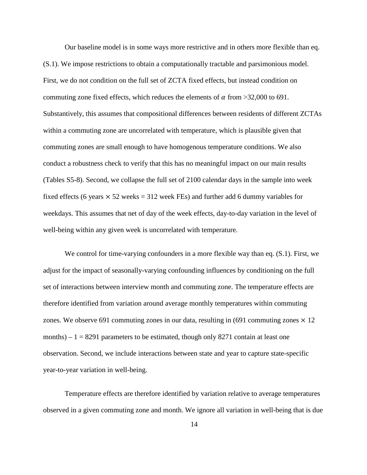Our baseline model is in some ways more restrictive and in others more flexible than eq. (S.1). We impose restrictions to obtain a computationally tractable and parsimonious model. First, we do not condition on the full set of ZCTA fixed effects, but instead condition on commuting zone fixed effects, which reduces the elements of  $\alpha$  from >32,000 to 691. Substantively, this assumes that compositional differences between residents of different ZCTAs within a commuting zone are uncorrelated with temperature, which is plausible given that commuting zones are small enough to have homogenous temperature conditions. We also conduct a robustness check to verify that this has no meaningful impact on our main results (Tables S5-8). Second, we collapse the full set of 2100 calendar days in the sample into week fixed effects (6 years  $\times$  52 weeks = 312 week FEs) and further add 6 dummy variables for weekdays. This assumes that net of day of the week effects, day-to-day variation in the level of well-being within any given week is uncorrelated with temperature.

We control for time-varying confounders in a more flexible way than eq.  $(S.1)$ . First, we adjust for the impact of seasonally-varying confounding influences by conditioning on the full set of interactions between interview month and commuting zone. The temperature effects are therefore identified from variation around average monthly temperatures within commuting zones. We observe 691 commuting zones in our data, resulting in (691 commuting zones  $\times$  12 months) –  $1 = 8291$  parameters to be estimated, though only 8271 contain at least one observation. Second, we include interactions between state and year to capture state-specific year-to-year variation in well-being.

Temperature effects are therefore identified by variation relative to average temperatures observed in a given commuting zone and month. We ignore all variation in well-being that is due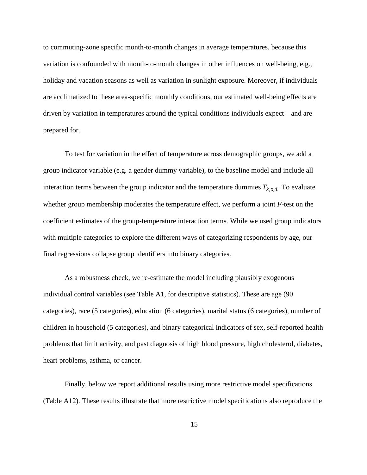to commuting-zone specific month-to-month changes in average temperatures, because this variation is confounded with month-to-month changes in other influences on well-being, e.g., holiday and vacation seasons as well as variation in sunlight exposure. Moreover, if individuals are acclimatized to these area-specific monthly conditions, our estimated well-being effects are driven by variation in temperatures around the typical conditions individuals expect—and are prepared for.

To test for variation in the effect of temperature across demographic groups, we add a group indicator variable (e.g. a gender dummy variable), to the baseline model and include all interaction terms between the group indicator and the temperature dummies  $T_{k,z,d}$ . To evaluate whether group membership moderates the temperature effect, we perform a joint *F-*test on the coefficient estimates of the group-temperature interaction terms. While we used group indicators with multiple categories to explore the different ways of categorizing respondents by age, our final regressions collapse group identifiers into binary categories.

As a robustness check, we re-estimate the model including plausibly exogenous individual control variables (see Table A1, for descriptive statistics). These are age (90 categories), race (5 categories), education (6 categories), marital status (6 categories), number of children in household (5 categories), and binary categorical indicators of sex, self-reported health problems that limit activity, and past diagnosis of high blood pressure, high cholesterol, diabetes, heart problems, asthma, or cancer.

Finally, below we report additional results using more restrictive model specifications (Table A12). These results illustrate that more restrictive model specifications also reproduce the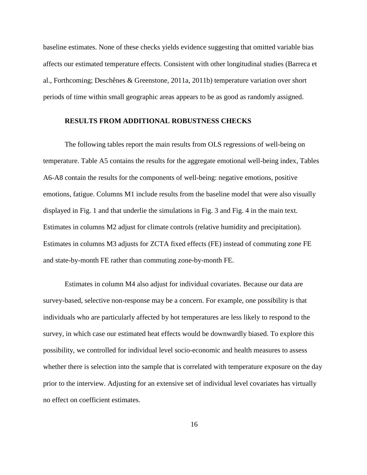baseline estimates. None of these checks yields evidence suggesting that omitted variable bias affects our estimated temperature effects. Consistent with other longitudinal studies (Barreca et al., Forthcoming; Deschênes & Greenstone, 2011a, 2011b) temperature variation over short periods of time within small geographic areas appears to be as good as randomly assigned.

### <span id="page-37-0"></span>**RESULTS FROM ADDITIONAL ROBUSTNESS CHECKS**

The following tables report the main results from OLS regressions of well-being on temperature. Table A5 contains the results for the aggregate emotional well-being index, Tables A6-A8 contain the results for the components of well-being: negative emotions, positive emotions, fatigue. Columns M1 include results from the baseline model that were also visually displayed in Fig. 1 and that underlie the simulations in Fig. 3 and Fig. 4 in the main text. Estimates in columns M2 adjust for climate controls (relative humidity and precipitation). Estimates in columns M3 adjusts for ZCTA fixed effects (FE) instead of commuting zone FE and state-by-month FE rather than commuting zone-by-month FE.

Estimates in column M4 also adjust for individual covariates. Because our data are survey-based, selective non-response may be a concern. For example, one possibility is that individuals who are particularly affected by hot temperatures are less likely to respond to the survey, in which case our estimated heat effects would be downwardly biased. To explore this possibility, we controlled for individual level socio-economic and health measures to assess whether there is selection into the sample that is correlated with temperature exposure on the day prior to the interview. Adjusting for an extensive set of individual level covariates has virtually no effect on coefficient estimates.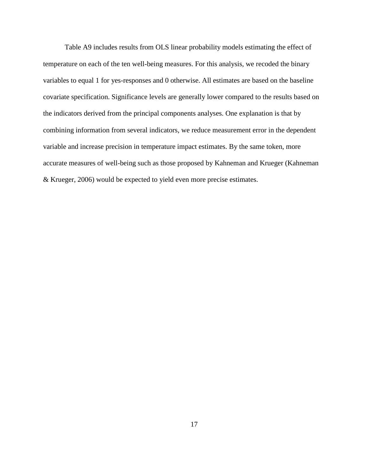Table A9 includes results from OLS linear probability models estimating the effect of temperature on each of the ten well-being measures. For this analysis, we recoded the binary variables to equal 1 for yes-responses and 0 otherwise. All estimates are based on the baseline covariate specification. Significance levels are generally lower compared to the results based on the indicators derived from the principal components analyses. One explanation is that by combining information from several indicators, we reduce measurement error in the dependent variable and increase precision in temperature impact estimates. By the same token, more accurate measures of well-being such as those proposed by Kahneman and Krueger (Kahneman & Krueger, 2006) would be expected to yield even more precise estimates.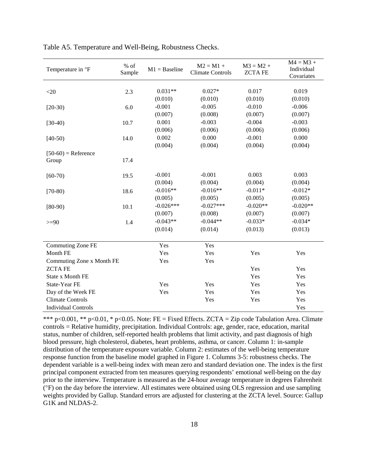| Temperature in °F          | $%$ of<br>Sample | $M1 = Baseline$ | $M2 = M1 +$<br><b>Climate Controls</b> | $M3 = M2 +$<br><b>ZCTAFE</b> | $M4 = M3 +$<br>Individual<br>Covariates |
|----------------------------|------------------|-----------------|----------------------------------------|------------------------------|-----------------------------------------|
|                            |                  |                 |                                        |                              |                                         |
| $<$ 20                     | 2.3              | $0.031**$       | $0.027*$                               | 0.017                        | 0.019                                   |
|                            |                  | (0.010)         | (0.010)                                | (0.010)                      | (0.010)                                 |
| $[20-30)$                  | 6.0              | $-0.001$        | $-0.005$                               | $-0.010$                     | $-0.006$                                |
|                            |                  | (0.007)         | (0.008)                                | (0.007)                      | (0.007)                                 |
| $[30-40)$                  | 10.7             | 0.001           | $-0.003$                               | $-0.004$                     | $-0.003$                                |
|                            |                  | (0.006)         | (0.006)                                | (0.006)                      | (0.006)                                 |
| $[40-50)$                  | 14.0             | 0.002           | 0.000                                  | $-0.001$                     | 0.000                                   |
|                            |                  | (0.004)         | (0.004)                                | (0.004)                      | (0.004)                                 |
| $[50-60)$ = Reference      |                  |                 |                                        |                              |                                         |
| Group                      | 17.4             |                 |                                        |                              |                                         |
|                            |                  |                 |                                        |                              |                                         |
| $[60-70)$                  | 19.5             | $-0.001$        | $-0.001$                               | 0.003                        | 0.003                                   |
|                            |                  | (0.004)         | (0.004)                                | (0.004)                      | (0.004)                                 |
| $[70-80)$                  | 18.6             | $-0.016**$      | $-0.016**$                             | $-0.011*$                    | $-0.012*$                               |
|                            |                  | (0.005)         | (0.005)                                | (0.005)                      | (0.005)                                 |
| $[80-90)$                  | 10.1             | $-0.026***$     | $-0.027***$                            | $-0.020**$                   | $-0.020**$                              |
|                            |                  | (0.007)         | (0.008)                                | (0.007)                      | (0.007)                                 |
| $>=$ 90                    | 1.4              | $-0.043**$      | $-0.044**$                             | $-0.033*$                    | $-0.034*$                               |
|                            |                  | (0.014)         | (0.014)                                | (0.013)                      | (0.013)                                 |
| Commuting Zone FE          |                  | Yes             | Yes                                    |                              |                                         |
| Month FE                   |                  | Yes             | Yes                                    | Yes                          | Yes                                     |
| Commuting Zone x Month FE  |                  | Yes             | Yes                                    |                              |                                         |
| <b>ZCTAFE</b>              |                  |                 |                                        | Yes                          | Yes                                     |
| State x Month FE           |                  |                 |                                        | Yes                          | Yes                                     |
| State-Year FE              |                  | Yes             | Yes                                    | Yes                          | Yes                                     |
| Day of the Week FE         |                  | Yes             | Yes                                    | Yes                          | Yes                                     |
| <b>Climate Controls</b>    |                  |                 | Yes                                    | Yes                          | Yes                                     |
| <b>Individual Controls</b> |                  |                 |                                        |                              | Yes                                     |

Table A5. Temperature and Well-Being, Robustness Checks.

\*\*\* p<0.001, \*\* p<0.01, \* p<0.05. Note: FE = Fixed Effects. ZCTA = Zip code Tabulation Area. Climate controls = Relative humidity, precipitation. Individual Controls: age, gender, race, education, marital status, number of children, self-reported health problems that limit activity, and past diagnosis of high blood pressure, high cholesterol, diabetes, heart problems, asthma, or cancer. Column 1: in-sample distribution of the temperature exposure variable. Column 2: estimates of the well-being temperature response function from the baseline model graphed in Figure 1. Columns 3-5: robustness checks. The dependent variable is a well-being index with mean zero and standard deviation one. The index is the first principal component extracted from ten measures querying respondents' emotional well-being on the day prior to the interview. Temperature is measured as the 24-hour average temperature in degrees Fahrenheit (°F) on the day before the interview. All estimates were obtained using OLS regression and use sampling weights provided by Gallup. Standard errors are adjusted for clustering at the ZCTA level. Source: Gallup G1K and NLDAS-2.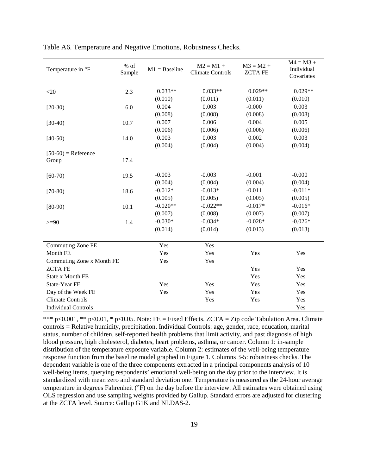| Temperature in °F          | $%$ of<br>Sample | $M1 = Baseline$ | $M2 = M1 +$<br><b>Climate Controls</b> | $M3 = M2 +$<br><b>ZCTAFE</b> | $M4 = M3 +$<br>Individual<br>Covariates |
|----------------------------|------------------|-----------------|----------------------------------------|------------------------------|-----------------------------------------|
|                            |                  |                 |                                        |                              |                                         |
| $<$ 20                     | 2.3              | $0.033**$       | $0.033**$                              | $0.029**$                    | $0.029**$                               |
|                            |                  | (0.010)         | (0.011)                                | (0.011)                      | (0.010)                                 |
| $[20-30)$                  | 6.0              | 0.004           | 0.003                                  | $-0.000$                     | 0.003                                   |
|                            |                  | (0.008)         | (0.008)                                | (0.008)                      | (0.008)                                 |
| $[30-40)$                  | 10.7             | 0.007           | 0.006                                  | 0.004                        | 0.005                                   |
|                            |                  | (0.006)         | (0.006)                                | (0.006)                      | (0.006)                                 |
| $[40-50)$                  | 14.0             | 0.003           | 0.003                                  | 0.002                        | 0.003                                   |
|                            |                  | (0.004)         | (0.004)                                | (0.004)                      | (0.004)                                 |
| $[50-60)$ = Reference      |                  |                 |                                        |                              |                                         |
| Group                      | 17.4             |                 |                                        |                              |                                         |
|                            |                  |                 |                                        |                              |                                         |
| $[60-70)$                  | 19.5             | $-0.003$        | $-0.003$                               | $-0.001$                     | $-0.000$                                |
|                            |                  | (0.004)         | (0.004)                                | (0.004)                      | (0.004)                                 |
| $[70-80)$                  | 18.6             | $-0.012*$       | $-0.013*$                              | $-0.011$                     | $-0.011*$                               |
|                            |                  | (0.005)         | (0.005)                                | (0.005)                      | (0.005)                                 |
| $[80-90)$                  | 10.1             | $-0.020**$      | $-0.022**$                             | $-0.017*$                    | $-0.016*$                               |
|                            |                  | (0.007)         | (0.008)                                | (0.007)                      | (0.007)                                 |
| $>=$ 90                    | 1.4              | $-0.030*$       | $-0.034*$                              | $-0.028*$                    | $-0.026*$                               |
|                            |                  | (0.014)         | (0.014)                                | (0.013)                      | (0.013)                                 |
| Commuting Zone FE          |                  | Yes             | Yes                                    |                              |                                         |
| Month FE                   |                  | Yes             | Yes                                    | Yes                          | Yes                                     |
| Commuting Zone x Month FE  |                  | Yes             | Yes                                    |                              |                                         |
| <b>ZCTAFE</b>              |                  |                 |                                        | Yes                          | Yes                                     |
| State x Month FE           |                  |                 |                                        | Yes                          | Yes                                     |
| State-Year FE              |                  | Yes             | Yes                                    | Yes                          | Yes                                     |
| Day of the Week FE         |                  | Yes             | Yes                                    | Yes                          | Yes                                     |
| <b>Climate Controls</b>    |                  |                 | Yes                                    | Yes                          | Yes                                     |
| <b>Individual Controls</b> |                  |                 |                                        |                              | Yes                                     |

Table A6. Temperature and Negative Emotions, Robustness Checks.

\*\*\* p<0.001, \*\* p<0.01, \* p<0.05. Note: FE = Fixed Effects. ZCTA = Zip code Tabulation Area. Climate controls = Relative humidity, precipitation. Individual Controls: age, gender, race, education, marital status, number of children, self-reported health problems that limit activity, and past diagnosis of high blood pressure, high cholesterol, diabetes, heart problems, asthma, or cancer. Column 1: in-sample distribution of the temperature exposure variable. Column 2: estimates of the well-being temperature response function from the baseline model graphed in Figure 1. Columns 3-5: robustness checks. The dependent variable is one of the three components extracted in a principal components analysis of 10 well-being items, querying respondents' emotional well-being on the day prior to the interview. It is standardized with mean zero and standard deviation one. Temperature is measured as the 24-hour average temperature in degrees Fahrenheit (°F) on the day before the interview. All estimates were obtained using OLS regression and use sampling weights provided by Gallup. Standard errors are adjusted for clustering at the ZCTA level. Source: Gallup G1K and NLDAS-2.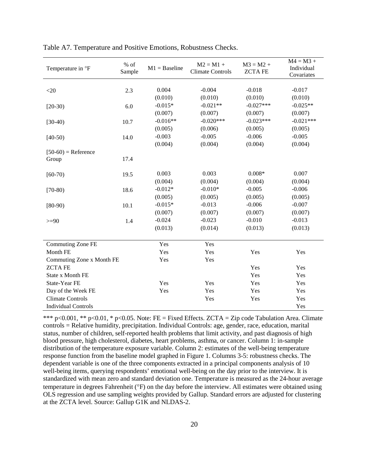| Temperature in °F          | $%$ of<br>Sample | $M1 = Baseline$ | $M2 = M1 +$<br><b>Climate Controls</b> | $M3 = M2 +$<br><b>ZCTAFE</b> | $M4 = M3 +$<br>Individual<br>Covariates |
|----------------------------|------------------|-----------------|----------------------------------------|------------------------------|-----------------------------------------|
|                            |                  |                 |                                        |                              |                                         |
| $<$ 20                     | 2.3              | 0.004           | $-0.004$                               | $-0.018$                     | $-0.017$                                |
|                            |                  | (0.010)         | (0.010)                                | (0.010)                      | (0.010)                                 |
| $[20-30)$                  | 6.0              | $-0.015*$       | $-0.021**$                             | $-0.027***$                  | $-0.025**$                              |
|                            |                  | (0.007)         | (0.007)                                | (0.007)                      | (0.007)                                 |
| $[30-40)$                  | 10.7             | $-0.016**$      | $-0.020***$                            | $-0.023***$                  | $-0.021***$                             |
|                            |                  | (0.005)         | (0.006)                                | (0.005)                      | (0.005)                                 |
| $[40-50)$                  | 14.0             | $-0.003$        | $-0.005$                               | $-0.006$                     | $-0.005$                                |
|                            |                  | (0.004)         | (0.004)                                | (0.004)                      | (0.004)                                 |
| $[50-60)$ = Reference      |                  |                 |                                        |                              |                                         |
| Group                      | 17.4             |                 |                                        |                              |                                         |
|                            |                  |                 |                                        |                              |                                         |
| $[60-70)$                  | 19.5             | 0.003           | 0.003                                  | $0.008*$                     | 0.007                                   |
|                            |                  | (0.004)         | (0.004)                                | (0.004)                      | (0.004)                                 |
| $[70-80)$                  | 18.6             | $-0.012*$       | $-0.010*$                              | $-0.005$                     | $-0.006$                                |
|                            |                  | (0.005)         | (0.005)                                | (0.005)                      | (0.005)                                 |
| $[80-90)$                  | 10.1             | $-0.015*$       | $-0.013$                               | $-0.006$                     | $-0.007$                                |
|                            |                  | (0.007)         | (0.007)                                | (0.007)                      | (0.007)                                 |
| $>=$ 90                    | 1.4              | $-0.024$        | $-0.023$                               | $-0.010$                     | $-0.013$                                |
|                            |                  | (0.013)         | (0.014)                                | (0.013)                      | (0.013)                                 |
|                            |                  |                 |                                        |                              |                                         |
| Commuting Zone FE          |                  | Yes             | Yes                                    |                              |                                         |
| Month FE                   |                  | Yes             | Yes                                    | Yes                          | Yes                                     |
| Commuting Zone x Month FE  |                  | Yes             | Yes                                    |                              |                                         |
| <b>ZCTAFE</b>              |                  |                 |                                        | Yes                          | Yes                                     |
| State x Month FE           |                  |                 |                                        | Yes                          | Yes                                     |
| State-Year FE              |                  | Yes             | Yes                                    | Yes                          | Yes                                     |
| Day of the Week FE         |                  | Yes             | Yes                                    | Yes                          | Yes                                     |
| <b>Climate Controls</b>    |                  |                 | Yes                                    | Yes                          | Yes                                     |
| <b>Individual Controls</b> |                  |                 |                                        |                              | Yes                                     |

Table A7. Temperature and Positive Emotions, Robustness Checks.

\*\*\* p<0.001, \*\* p<0.01, \* p<0.05. Note: FE = Fixed Effects. ZCTA = Zip code Tabulation Area. Climate controls = Relative humidity, precipitation. Individual Controls: age, gender, race, education, marital status, number of children, self-reported health problems that limit activity, and past diagnosis of high blood pressure, high cholesterol, diabetes, heart problems, asthma, or cancer. Column 1: in-sample distribution of the temperature exposure variable. Column 2: estimates of the well-being temperature response function from the baseline model graphed in Figure 1. Columns 3-5: robustness checks. The dependent variable is one of the three components extracted in a principal components analysis of 10 well-being items, querying respondents' emotional well-being on the day prior to the interview. It is standardized with mean zero and standard deviation one. Temperature is measured as the 24-hour average temperature in degrees Fahrenheit (°F) on the day before the interview. All estimates were obtained using OLS regression and use sampling weights provided by Gallup. Standard errors are adjusted for clustering at the ZCTA level. Source: Gallup G1K and NLDAS-2.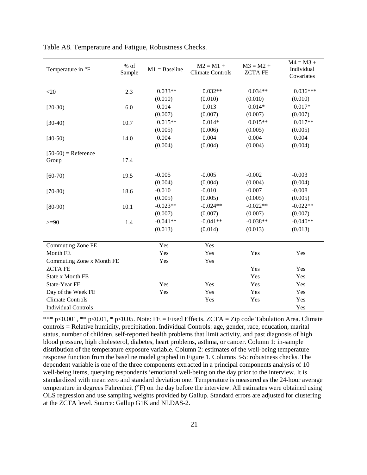| Temperature in °F          | $%$ of<br>Sample | $M1 = Baseline$ | $M2 = M1 +$<br><b>Climate Controls</b> | $M3 = M2 +$<br><b>ZCTAFE</b> | $M4 = M3 +$<br>Individual<br>Covariates |
|----------------------------|------------------|-----------------|----------------------------------------|------------------------------|-----------------------------------------|
|                            |                  |                 |                                        |                              |                                         |
| $<$ 20                     | 2.3              | $0.033**$       | $0.032**$                              | $0.034**$                    | $0.036***$                              |
|                            |                  | (0.010)         | (0.010)                                | (0.010)                      | (0.010)                                 |
| $[20-30)$                  | 6.0              | 0.014           | 0.013                                  | $0.014*$                     | $0.017*$                                |
|                            |                  | (0.007)         | (0.007)                                | (0.007)                      | (0.007)                                 |
| $[30-40)$                  | 10.7             | $0.015**$       | $0.014*$                               | $0.015**$                    | $0.017**$                               |
|                            |                  | (0.005)         | (0.006)                                | (0.005)                      | (0.005)                                 |
| $[40-50)$                  | 14.0             | 0.004           | 0.004                                  | 0.004                        | 0.004                                   |
|                            |                  | (0.004)         | (0.004)                                | (0.004)                      | (0.004)                                 |
| $[50-60)$ = Reference      |                  |                 |                                        |                              |                                         |
| Group                      | 17.4             |                 |                                        |                              |                                         |
|                            |                  |                 |                                        |                              |                                         |
| $[60-70)$                  | 19.5             | $-0.005$        | $-0.005$                               | $-0.002$                     | $-0.003$                                |
|                            |                  | (0.004)         | (0.004)                                | (0.004)                      | (0.004)                                 |
| $[70-80)$                  | 18.6             | $-0.010$        | $-0.010$                               | $-0.007$                     | $-0.008$                                |
|                            |                  | (0.005)         | (0.005)                                | (0.005)                      | (0.005)                                 |
| $[80-90)$                  | 10.1             | $-0.023**$      | $-0.024**$                             | $-0.022**$                   | $-0.022**$                              |
|                            |                  | (0.007)         | (0.007)                                | (0.007)                      | (0.007)                                 |
| $>=$ 90                    | 1.4              | $-0.041**$      | $-0.041**$                             | $-0.038**$                   | $-0.040**$                              |
|                            |                  | (0.013)         | (0.014)                                | (0.013)                      | (0.013)                                 |
|                            |                  |                 |                                        |                              |                                         |
| Commuting Zone FE          |                  | Yes             | Yes                                    |                              |                                         |
| Month FE                   |                  | Yes             | Yes                                    | Yes                          | Yes                                     |
| Commuting Zone x Month FE  |                  | Yes             | Yes                                    |                              |                                         |
| <b>ZCTAFE</b>              |                  |                 |                                        | Yes                          | Yes                                     |
| State x Month FE           |                  |                 |                                        | Yes                          | Yes                                     |
| State-Year FE              |                  | Yes             | Yes                                    | Yes                          | Yes                                     |
| Day of the Week FE         |                  | Yes             | Yes                                    | Yes                          | Yes                                     |
| <b>Climate Controls</b>    |                  |                 | Yes                                    | Yes                          | Yes                                     |
| <b>Individual Controls</b> |                  |                 |                                        |                              | Yes                                     |

Table A8. Temperature and Fatigue, Robustness Checks.

\*\*\* p<0.001, \*\* p<0.01, \* p<0.05. Note: FE = Fixed Effects. ZCTA = Zip code Tabulation Area. Climate controls = Relative humidity, precipitation. Individual Controls: age, gender, race, education, marital status, number of children, self-reported health problems that limit activity, and past diagnosis of high blood pressure, high cholesterol, diabetes, heart problems, asthma, or cancer. Column 1: in-sample distribution of the temperature exposure variable. Column 2: estimates of the well-being temperature response function from the baseline model graphed in Figure 1. Columns 3-5: robustness checks. The dependent variable is one of the three components extracted in a principal components analysis of 10 well-being items, querying respondents 'emotional well-being on the day prior to the interview. It is standardized with mean zero and standard deviation one. Temperature is measured as the 24-hour average temperature in degrees Fahrenheit (°F) on the day before the interview. All estimates were obtained using OLS regression and use sampling weights provided by Gallup. Standard errors are adjusted for clustering at the ZCTA level. Source: Gallup G1K and NLDAS-2.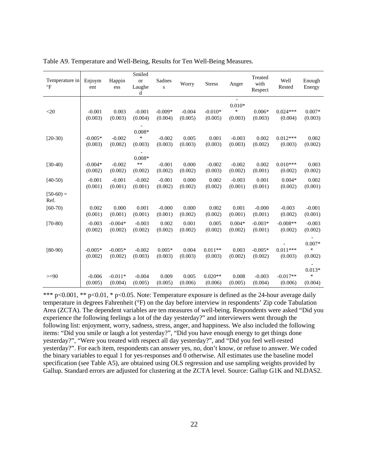| Temperature in<br>$\circ$ F | Enjoym<br>ent        | Happin<br>ess        | Smiled<br><b>or</b><br>Laughe<br>d | Sadnes<br>S          | Worry               | <b>Stress</b>        | Anger                         | Treated<br>with<br>Respect | Well<br>Rested        | Enough<br>Energy              |
|-----------------------------|----------------------|----------------------|------------------------------------|----------------------|---------------------|----------------------|-------------------------------|----------------------------|-----------------------|-------------------------------|
| $<$ 20                      | $-0.001$<br>(0.003)  | 0.003<br>(0.003)     | $-0.001$<br>(0.004)                | $-0.009*$<br>(0.004) | $-0.004$<br>(0.005) | $-0.010*$<br>(0.005) | $0.010*$<br>$\ast$<br>(0.003) | $0.006*$<br>(0.003)        | $0.024***$<br>(0.004) | $0.007*$<br>(0.003)           |
| $[20-30)$                   | $-0.005*$<br>(0.003) | $-0.002$<br>(0.002)  | $0.008*$<br>$\ast$<br>(0.003)      | $-0.002$<br>(0.003)  | 0.005<br>(0.003)    | 0.001<br>(0.003)     | $-0.003$<br>(0.003)           | 0.002<br>(0.002)           | $0.012***$<br>(0.003) | 0.002<br>(0.002)              |
| $[30-40)$                   | $-0.004*$<br>(0.002) | $-0.002$<br>(0.002)  | $0.008*$<br>$**$<br>(0.002)        | $-0.001$<br>(0.002)  | 0.000<br>(0.002)    | $-0.002$<br>(0.003)  | $-0.002$<br>(0.002)           | 0.002<br>(0.001)           | $0.010***$<br>(0.002) | 0.003<br>(0.002)              |
| $[40-50]$                   | $-0.001$<br>(0.001)  | $-0.001$<br>(0.001)  | $-0.002$<br>(0.001)                | $-0.001$<br>(0.002)  | 0.000<br>(0.002)    | 0.002<br>(0.002)     | $-0.003$<br>(0.001)           | 0.001<br>(0.001)           | $0.004*$<br>(0.002)   | 0.002<br>(0.001)              |
| $[50-60] =$<br>Ref.         |                      |                      |                                    |                      |                     |                      |                               |                            |                       |                               |
| $[60-70)$                   | 0.002<br>(0.001)     | 0.000<br>(0.001)     | 0.001<br>(0.001)                   | $-0.000$<br>(0.001)  | 0.000<br>(0.002)    | 0.002<br>(0.002)     | 0.001<br>(0.001)              | $-0.000$<br>(0.001)        | $-0.003$<br>(0.002)   | $-0.001$<br>(0.001)           |
| $[70-80)$                   | $-0.003$<br>(0.002)  | $-0.004*$<br>(0.002) | $-0.003$<br>(0.002)                | 0.002<br>(0.002)     | 0.001<br>(0.002)    | 0.005<br>(0.002)     | $0.004*$<br>(0.002)           | $-0.003*$<br>(0.001)       | $-0.008**$<br>(0.002) | $-0.003$<br>(0.002)           |
| $[80-90)$                   | $-0.005*$<br>(0.002) | $-0.005*$<br>(0.002) | $-0.002$<br>(0.003)                | $0.005*$<br>(0.003)  | 0.004<br>(0.003)    | $0.011**$<br>(0.003) | 0.003<br>(0.002)              | $-0.005*$<br>(0.002)       | $0.011***$<br>(0.003) | $0.007*$<br>$\ast$<br>(0.002) |
| $>= 90$                     | $-0.006$<br>(0.005)  | $-0.011*$<br>(0.004) | $-0.004$<br>(0.005)                | 0.009<br>(0.005)     | 0.005<br>(0.006)    | $0.020**$<br>(0.006) | 0.008<br>(0.005)              | $-0.003$<br>(0.004)        | $-0.017**$<br>(0.006) | $0.013*$<br>$\ast$<br>(0.004) |

Table A9. Temperature and Well-Being, Results for Ten Well-Being Measures.

\*\*\* p<0.001, \*\* p<0.01, \* p<0.05. Note: Temperature exposure is defined as the 24-hour average daily temperature in degrees Fahrenheit (°F) on the day before interview in respondents' Zip code Tabulation Area (ZCTA). The dependent variables are ten measures of well-being. Respondents were asked "Did you experience the following feelings a lot of the day yesterday?" and interviewers went through the following list: enjoyment, worry, sadness, stress, anger, and happiness. We also included the following items: "Did you smile or laugh a lot yesterday?", "Did you have enough energy to get things done yesterday?", "Were you treated with respect all day yesterday?", and "Did you feel well-rested yesterday?". For each item, respondents can answer yes, no, don't know, or refuse to answer. We coded the binary variables to equal 1 for yes-responses and 0 otherwise. All estimates use the baseline model specification (see Table A5), are obtained using OLS regression and use sampling weights provided by Gallup. Standard errors are adjusted for clustering at the ZCTA level. Source: Gallup G1K and NLDAS2.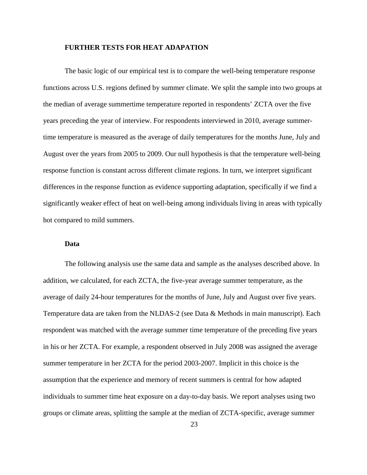### <span id="page-44-0"></span>**FURTHER TESTS FOR HEAT ADAPATION**

The basic logic of our empirical test is to compare the well-being temperature response functions across U.S. regions defined by summer climate. We split the sample into two groups at the median of average summertime temperature reported in respondents' ZCTA over the five years preceding the year of interview. For respondents interviewed in 2010, average summertime temperature is measured as the average of daily temperatures for the months June, July and August over the years from 2005 to 2009. Our null hypothesis is that the temperature well-being response function is constant across different climate regions. In turn, we interpret significant differences in the response function as evidence supporting adaptation, specifically if we find a significantly weaker effect of heat on well-being among individuals living in areas with typically hot compared to mild summers.

### **Data**

<span id="page-44-1"></span>The following analysis use the same data and sample as the analyses described above. In addition, we calculated, for each ZCTA, the five-year average summer temperature, as the average of daily 24-hour temperatures for the months of June, July and August over five years. Temperature data are taken from the NLDAS-2 (see Data & Methods in main manuscript). Each respondent was matched with the average summer time temperature of the preceding five years in his or her ZCTA. For example, a respondent observed in July 2008 was assigned the average summer temperature in her ZCTA for the period 2003-2007. Implicit in this choice is the assumption that the experience and memory of recent summers is central for how adapted individuals to summer time heat exposure on a day-to-day basis. We report analyses using two groups or climate areas, splitting the sample at the median of ZCTA-specific, average summer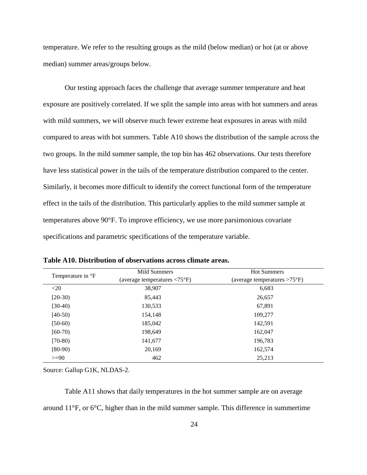temperature. We refer to the resulting groups as the mild (below median) or hot (at or above median) summer areas/groups below.

Our testing approach faces the challenge that average summer temperature and heat exposure are positively correlated. If we split the sample into areas with hot summers and areas with mild summers, we will observe much fewer extreme heat exposures in areas with mild compared to areas with hot summers. Table A10 shows the distribution of the sample across the two groups. In the mild summer sample, the top bin has 462 observations. Our tests therefore have less statistical power in the tails of the temperature distribution compared to the center. Similarly, it becomes more difficult to identify the correct functional form of the temperature effect in the tails of the distribution. This particularly applies to the mild summer sample at temperatures above 90°F. To improve efficiency, we use more parsimonious covariate specifications and parametric specifications of the temperature variable.

| Temperature in <sup>o</sup> F | Mild Summers<br>(average temperatures $\langle 75^\circ F \rangle$ | <b>Hot Summers</b><br>(average temperatures $>75^{\circ}F$ ) |
|-------------------------------|--------------------------------------------------------------------|--------------------------------------------------------------|
| $<$ 20                        | 38,907                                                             | 6,683                                                        |
| $[20-30)$                     | 85,443                                                             | 26,657                                                       |
| $[30-40)$                     | 130,533                                                            | 67,891                                                       |
| $[40-50)$                     | 154,148                                                            | 109,277                                                      |
| $[50-60)$                     | 185,042                                                            | 142,591                                                      |
| $[60-70)$                     | 198,649                                                            | 162,047                                                      |
| $[70-80)$                     | 141,677                                                            | 196,783                                                      |
| $[80-90)$                     | 20,169                                                             | 162,574                                                      |
| $>= 90$                       | 462                                                                | 25,213                                                       |

**Table A10. Distribution of observations across climate areas.**

Source: Gallup G1K, NLDAS-2.

Table A11 shows that daily temperatures in the hot summer sample are on average around 11°F, or 6°C, higher than in the mild summer sample. This difference in summertime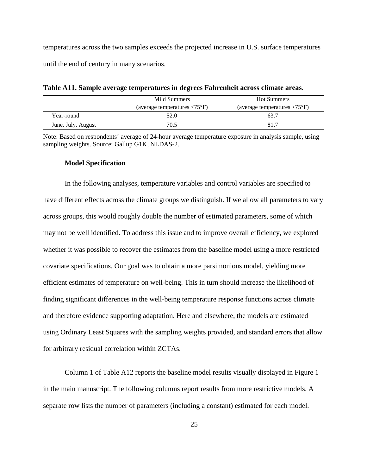temperatures across the two samples exceeds the projected increase in U.S. surface temperatures until the end of century in many scenarios.

|                    | Mild Summers                                       | <b>Hot Summers</b>                     |
|--------------------|----------------------------------------------------|----------------------------------------|
|                    | (average temperatures $\langle 75^\circ F \rangle$ | (average temperatures $>75^{\circ}F$ ) |
| Year-round         | 52.0                                               | 63.7                                   |
| June, July, August | 70.5                                               | 81.7                                   |

**Table A11. Sample average temperatures in degrees Fahrenheit across climate areas.**

Note: Based on respondents' average of 24-hour average temperature exposure in analysis sample, using sampling weights. Source: Gallup G1K, NLDAS-2.

### **Model Specification**

<span id="page-46-0"></span>In the following analyses, temperature variables and control variables are specified to have different effects across the climate groups we distinguish. If we allow all parameters to vary across groups, this would roughly double the number of estimated parameters, some of which may not be well identified. To address this issue and to improve overall efficiency, we explored whether it was possible to recover the estimates from the baseline model using a more restricted covariate specifications. Our goal was to obtain a more parsimonious model, yielding more efficient estimates of temperature on well-being. This in turn should increase the likelihood of finding significant differences in the well-being temperature response functions across climate and therefore evidence supporting adaptation. Here and elsewhere, the models are estimated using Ordinary Least Squares with the sampling weights provided, and standard errors that allow for arbitrary residual correlation within ZCTAs.

Column 1 of Table A12 reports the baseline model results visually displayed in Figure 1 in the main manuscript. The following columns report results from more restrictive models. A separate row lists the number of parameters (including a constant) estimated for each model.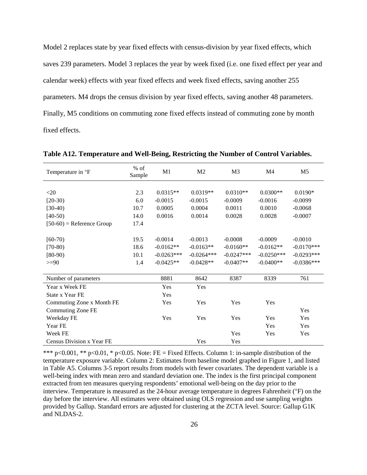Model 2 replaces state by year fixed effects with census-division by year fixed effects, which saves 239 parameters. Model 3 replaces the year by week fixed (i.e. one fixed effect per year and calendar week) effects with year fixed effects and week fixed effects, saving another 255 parameters. M4 drops the census division by year fixed effects, saving another 48 parameters. Finally, M5 conditions on commuting zone fixed effects instead of commuting zone by month fixed effects.

| Temperature in °F                | $%$ of<br>Sample | M1           | M <sub>2</sub> | M <sub>3</sub> | M4           | M <sub>5</sub> |
|----------------------------------|------------------|--------------|----------------|----------------|--------------|----------------|
|                                  |                  |              |                |                |              |                |
| $<$ 20                           | 2.3              | $0.0315**$   | $0.0319**$     | $0.0310**$     | $0.0300**$   | $0.0190*$      |
| $[20-30)$                        | 6.0              | $-0.0015$    | $-0.0015$      | $-0.0009$      | $-0.0016$    | $-0.0099$      |
| $[30-40)$                        | 10.7             | 0.0005       | 0.0004         | 0.0011         | 0.0010       | $-0.0068$      |
| $[40-50)$                        | 14.0             | 0.0016       | 0.0014         | 0.0028         | 0.0028       | $-0.0007$      |
| $[50-60)$ = Reference Group      | 17.4             |              |                |                |              |                |
|                                  |                  |              |                |                |              |                |
| $[60-70)$                        | 19.5             | $-0.0014$    | $-0.0013$      | $-0.0008$      | $-0.0009$    | $-0.0010$      |
| $[70-80)$                        | 18.6             | $-0.0162**$  | $-0.0163**$    | $-0.0160**$    | $-0.0162**$  | $-0.0170***$   |
| $[80-90)$                        | 10.1             | $-0.0263***$ | $-0.0264***$   | $-0.0247***$   | $-0.0250***$ | $-0.0293***$   |
| $>=$ 90                          | 1.4              | $-0.0425**$  | $-0.0428**$    | $-0.0407**$    | $-0.0400**$  | $-0.0386***$   |
|                                  |                  |              |                |                |              |                |
| Number of parameters             |                  | 8881         | 8642           | 8387           | 8339         | 761            |
| Year x Week FE                   |                  | Yes          | Yes            |                |              |                |
| State x Year FE                  |                  | Yes          |                |                |              |                |
| Commuting Zone x Month FE        |                  | Yes          | Yes            | Yes            | Yes          |                |
| Commuting Zone FE                |                  |              |                |                |              | Yes            |
| Weekday FE                       |                  | Yes          | Yes            | Yes            | Yes          | Yes            |
| Year FE                          |                  |              |                |                | Yes          | Yes            |
| Week FE                          |                  |              |                | Yes            | Yes          | Yes            |
| <b>Census Division x Year FE</b> |                  |              | Yes            | Yes            |              |                |

**Table A12. Temperature and Well-Being, Restricting the Number of Control Variables.**

\*\*\* p<0.001, \*\* p<0.01, \* p<0.05. Note: FE = Fixed Effects. Column 1: in-sample distribution of the temperature exposure variable. Column 2: Estimates from baseline model graphed in Figure 1, and listed in Table A5. Columns 3-5 report results from models with fewer covariates. The dependent variable is a well-being index with mean zero and standard deviation one. The index is the first principal component extracted from ten measures querying respondents' emotional well-being on the day prior to the interview. Temperature is measured as the 24-hour average temperature in degrees Fahrenheit (°F) on the day before the interview. All estimates were obtained using OLS regression and use sampling weights provided by Gallup. Standard errors are adjusted for clustering at the ZCTA level. Source: Gallup G1K and NLDAS-2.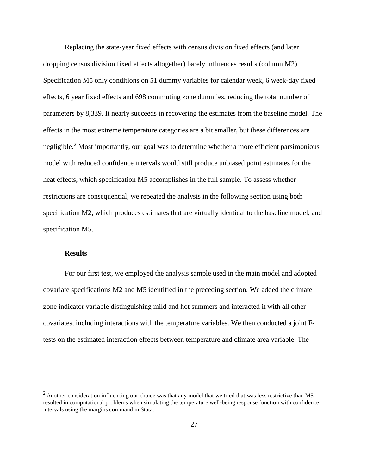Replacing the state-year fixed effects with census division fixed effects (and later dropping census division fixed effects altogether) barely influences results (column M2). Specification M5 only conditions on 51 dummy variables for calendar week, 6 week-day fixed effects, 6 year fixed effects and 698 commuting zone dummies, reducing the total number of parameters by 8,339. It nearly succeeds in recovering the estimates from the baseline model. The effects in the most extreme temperature categories are a bit smaller, but these differences are negligible.[2](#page-48-1) Most importantly, our goal was to determine whether a more efficient parsimonious model with reduced confidence intervals would still produce unbiased point estimates for the heat effects, which specification M5 accomplishes in the full sample. To assess whether restrictions are consequential, we repeated the analysis in the following section using both specification M2, which produces estimates that are virtually identical to the baseline model, and specification M5.

### **Results**

 $\overline{a}$ 

<span id="page-48-0"></span>For our first test, we employed the analysis sample used in the main model and adopted covariate specifications M2 and M5 identified in the preceding section. We added the climate zone indicator variable distinguishing mild and hot summers and interacted it with all other covariates, including interactions with the temperature variables. We then conducted a joint Ftests on the estimated interaction effects between temperature and climate area variable. The

<span id="page-48-1"></span> $2$  Another consideration influencing our choice was that any model that we tried that was less restrictive than M5 resulted in computational problems when simulating the temperature well-being response function with confidence intervals using the margins command in Stata.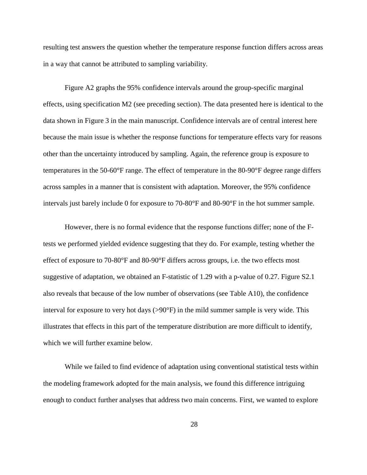resulting test answers the question whether the temperature response function differs across areas in a way that cannot be attributed to sampling variability.

Figure A2 graphs the 95% confidence intervals around the group-specific marginal effects, using specification M2 (see preceding section). The data presented here is identical to the data shown in Figure 3 in the main manuscript. Confidence intervals are of central interest here because the main issue is whether the response functions for temperature effects vary for reasons other than the uncertainty introduced by sampling. Again, the reference group is exposure to temperatures in the 50-60°F range. The effect of temperature in the 80-90°F degree range differs across samples in a manner that is consistent with adaptation. Moreover, the 95% confidence intervals just barely include 0 for exposure to 70-80°F and 80-90°F in the hot summer sample.

However, there is no formal evidence that the response functions differ; none of the Ftests we performed yielded evidence suggesting that they do. For example, testing whether the effect of exposure to 70-80°F and 80-90°F differs across groups, i.e. the two effects most suggestive of adaptation, we obtained an F-statistic of 1.29 with a p-value of 0.27. Figure S2.1 also reveals that because of the low number of observations (see Table A10), the confidence interval for exposure to very hot days  $(>90°F)$  in the mild summer sample is very wide. This illustrates that effects in this part of the temperature distribution are more difficult to identify, which we will further examine below.

While we failed to find evidence of adaptation using conventional statistical tests within the modeling framework adopted for the main analysis, we found this difference intriguing enough to conduct further analyses that address two main concerns. First, we wanted to explore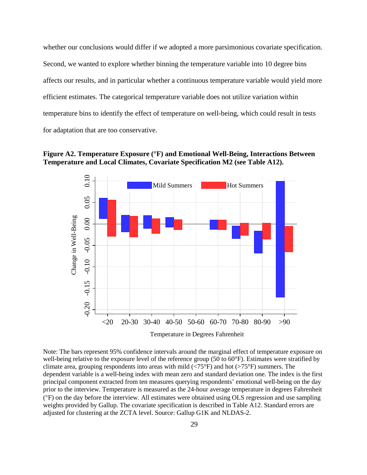whether our conclusions would differ if we adopted a more parsimonious covariate specification. Second, we wanted to explore whether binning the temperature variable into 10 degree bins affects our results, and in particular whether a continuous temperature variable would yield more efficient estimates. The categorical temperature variable does not utilize variation within temperature bins to identify the effect of temperature on well-being, which could result in tests for adaptation that are too conservative.





Note: The bars represent 95% confidence intervals around the marginal effect of temperature exposure on well-being relative to the exposure level of the reference group (50 to 60°F). Estimates were stratified by climate area, grouping respondents into areas with mild ( $\langle 75^{\circ}$ F) and hot ( $>75^{\circ}$ F) summers. The dependent variable is a well-being index with mean zero and standard deviation one. The index is the first principal component extracted from ten measures querying respondents' emotional well-being on the day prior to the interview. Temperature is measured as the 24-hour average temperature in degrees Fahrenheit (°F) on the day before the interview. All estimates were obtained using OLS regression and use sampling weights provided by Gallup. The covariate specification is described in Table A12. Standard errors are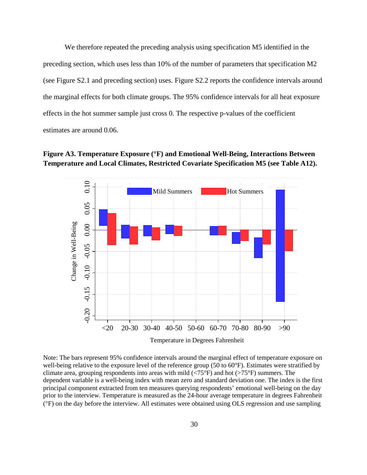We therefore repeated the preceding analysis using specification M5 identified in the preceding section, which uses less than 10% of the number of parameters that specification M2 (see Figure S2.1 and preceding section) uses. Figure S2.2 reports the confidence intervals around the marginal effects for both climate groups. The 95% confidence intervals for all heat exposure effects in the hot summer sample just cross 0. The respective p-values of the coefficient estimates are around 0.06.





Note: The bars represent 95% confidence intervals around the marginal effect of temperature exposure on well-being relative to the exposure level of the reference group (50 to 60°F). Estimates were stratified by climate area, grouping respondents into areas with mild  $\left\langle \langle 75^{\circ}F \rangle \right\rangle$  and hot  $\left\langle \rangle 75^{\circ}F \rangle$  summers. The dependent variable is a well-being index with mean zero and standard deviation one. The index is the first principal component extracted from ten measures querying respondents' emotional well-being on the day prior to the interview. Temperature is measured as the 24-hour average temperature in degrees Fahrenheit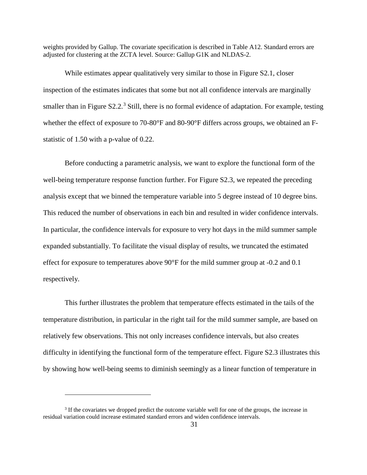weights provided by Gallup. The covariate specification is described in Table A12. Standard errors are adjusted for clustering at the ZCTA level. Source: Gallup G1K and NLDAS-2.

While estimates appear qualitatively very similar to those in Figure S2.1, closer inspection of the estimates indicates that some but not all confidence intervals are marginally smaller than in Figure  $S2.2<sup>3</sup>$  $S2.2<sup>3</sup>$  $S2.2<sup>3</sup>$  Still, there is no formal evidence of adaptation. For example, testing whether the effect of exposure to 70-80°F and 80-90°F differs across groups, we obtained an Fstatistic of 1.50 with a p-value of 0.22.

Before conducting a parametric analysis, we want to explore the functional form of the well-being temperature response function further. For Figure S2.3, we repeated the preceding analysis except that we binned the temperature variable into 5 degree instead of 10 degree bins. This reduced the number of observations in each bin and resulted in wider confidence intervals. In particular, the confidence intervals for exposure to very hot days in the mild summer sample expanded substantially. To facilitate the visual display of results, we truncated the estimated effect for exposure to temperatures above 90°F for the mild summer group at -0.2 and 0.1 respectively.

This further illustrates the problem that temperature effects estimated in the tails of the temperature distribution, in particular in the right tail for the mild summer sample, are based on relatively few observations. This not only increases confidence intervals, but also creates difficulty in identifying the functional form of the temperature effect. Figure S2.3 illustrates this by showing how well-being seems to diminish seemingly as a linear function of temperature in

 $\overline{a}$ 

<span id="page-52-0"></span><sup>&</sup>lt;sup>3</sup> If the covariates we dropped predict the outcome variable well for one of the groups, the increase in residual variation could increase estimated standard errors and widen confidence intervals.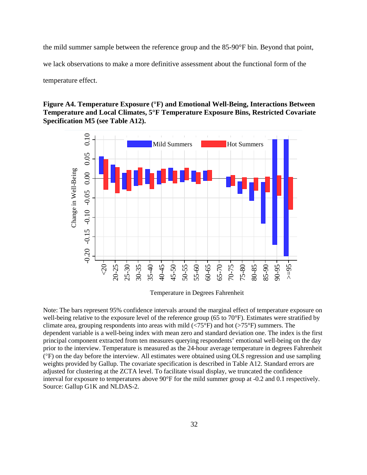the mild summer sample between the reference group and the 85-90°F bin. Beyond that point, we lack observations to make a more definitive assessment about the functional form of the temperature effect.

**Figure A4. Temperature Exposure (°F) and Emotional Well-Being, Interactions Between Temperature and Local Climates, 5°F Temperature Exposure Bins, Restricted Covariate Specification M5 (see Table A12).**



Note: The bars represent 95% confidence intervals around the marginal effect of temperature exposure on well-being relative to the exposure level of the reference group (65 to 70°F). Estimates were stratified by climate area, grouping respondents into areas with mild ( $\langle 75^{\circ}$ F) and hot ( $>75^{\circ}$ F) summers. The dependent variable is a well-being index with mean zero and standard deviation one. The index is the first principal component extracted from ten measures querying respondents' emotional well-being on the day prior to the interview. Temperature is measured as the 24-hour average temperature in degrees Fahrenheit (°F) on the day before the interview. All estimates were obtained using OLS regression and use sampling weights provided by Gallup. The covariate specification is described in Table A12. Standard errors are adjusted for clustering at the ZCTA level. To facilitate visual display, we truncated the confidence interval for exposure to temperatures above 90°F for the mild summer group at -0.2 and 0.1 respectively.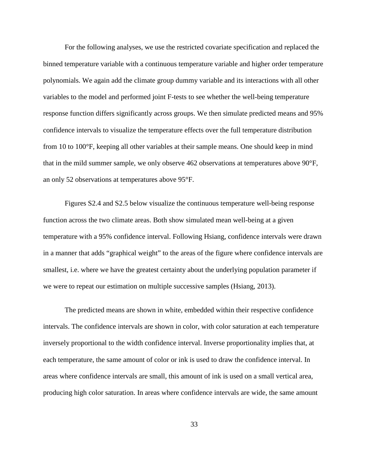For the following analyses, we use the restricted covariate specification and replaced the binned temperature variable with a continuous temperature variable and higher order temperature polynomials. We again add the climate group dummy variable and its interactions with all other variables to the model and performed joint F-tests to see whether the well-being temperature response function differs significantly across groups. We then simulate predicted means and 95% confidence intervals to visualize the temperature effects over the full temperature distribution from 10 to 100°F, keeping all other variables at their sample means. One should keep in mind that in the mild summer sample, we only observe 462 observations at temperatures above 90°F, an only 52 observations at temperatures above 95°F.

Figures S2.4 and S2.5 below visualize the continuous temperature well-being response function across the two climate areas. Both show simulated mean well-being at a given temperature with a 95% confidence interval. Following Hsiang, confidence intervals were drawn in a manner that adds "graphical weight" to the areas of the figure where confidence intervals are smallest, i.e. where we have the greatest certainty about the underlying population parameter if we were to repeat our estimation on multiple successive samples (Hsiang, 2013).

The predicted means are shown in white, embedded within their respective confidence intervals. The confidence intervals are shown in color, with color saturation at each temperature inversely proportional to the width confidence interval. Inverse proportionality implies that, at each temperature, the same amount of color or ink is used to draw the confidence interval. In areas where confidence intervals are small, this amount of ink is used on a small vertical area, producing high color saturation. In areas where confidence intervals are wide, the same amount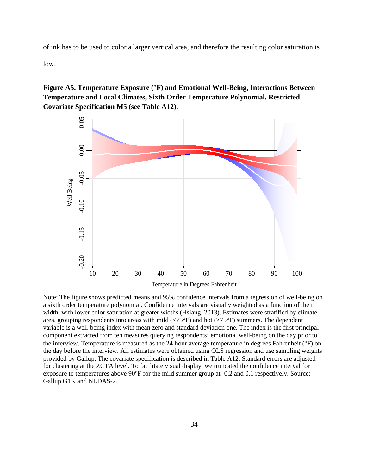of ink has to be used to color a larger vertical area, and therefore the resulting color saturation is

low.

**Figure A5. Temperature Exposure (°F) and Emotional Well-Being, Interactions Between Temperature and Local Climates, Sixth Order Temperature Polynomial, Restricted Covariate Specification M5 (see Table A12).**



Note: The figure shows predicted means and 95% confidence intervals from a regression of well-being on a sixth order temperature polynomial. Confidence intervals are visually weighted as a function of their width, with lower color saturation at greater widths (Hsiang, 2013). Estimates were stratified by climate area, grouping respondents into areas with mild  $\langle 75^{\circ}$ F) and hot  $\langle 275^{\circ}$ F) summers. The dependent variable is a well-being index with mean zero and standard deviation one. The index is the first principal component extracted from ten measures querying respondents' emotional well-being on the day prior to the interview. Temperature is measured as the 24-hour average temperature in degrees Fahrenheit (°F) on the day before the interview. All estimates were obtained using OLS regression and use sampling weights provided by Gallup. The covariate specification is described in Table A12. Standard errors are adjusted for clustering at the ZCTA level. To facilitate visual display, we truncated the confidence interval for exposure to temperatures above 90°F for the mild summer group at -0.2 and 0.1 respectively. Source: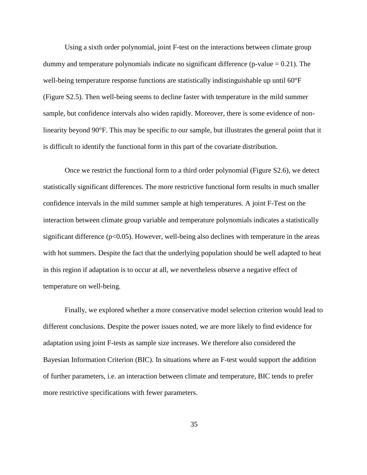Using a sixth order polynomial, joint F-test on the interactions between climate group dummy and temperature polynomials indicate no significant difference ( $p$ -value = 0.21). The well-being temperature response functions are statistically indistinguishable up until 60°F (Figure S2.5). Then well-being seems to decline faster with temperature in the mild summer sample, but confidence intervals also widen rapidly. Moreover, there is some evidence of nonlinearity beyond 90°F. This may be specific to our sample, but illustrates the general point that it is difficult to identify the functional form in this part of the covariate distribution.

Once we restrict the functional form to a third order polynomial (Figure S2.6), we detect statistically significant differences. The more restrictive functional form results in much smaller confidence intervals in the mild summer sample at high temperatures. A joint F-Test on the interaction between climate group variable and temperature polynomials indicates a statistically significant difference ( $p<0.05$ ). However, well-being also declines with temperature in the areas with hot summers. Despite the fact that the underlying population should be well adapted to heat in this region if adaptation is to occur at all, we nevertheless observe a negative effect of temperature on well-being.

Finally, we explored whether a more conservative model selection criterion would lead to different conclusions. Despite the power issues noted, we are more likely to find evidence for adaptation using joint F-tests as sample size increases. We therefore also considered the Bayesian Information Criterion (BIC). In situations where an F-test would support the addition of further parameters, i.e. an interaction between climate and temperature, BIC tends to prefer more restrictive specifications with fewer parameters.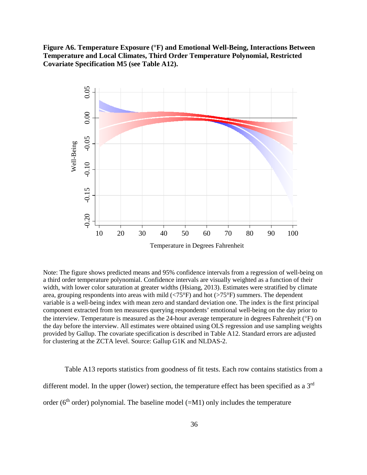**Figure A6. Temperature Exposure (°F) and Emotional Well-Being, Interactions Between Temperature and Local Climates, Third Order Temperature Polynomial, Restricted Covariate Specification M5 (see Table A12).**



Note: The figure shows predicted means and 95% confidence intervals from a regression of well-being on a third order temperature polynomial. Confidence intervals are visually weighted as a function of their width, with lower color saturation at greater widths (Hsiang, 2013). Estimates were stratified by climate area, grouping respondents into areas with mild  $\left\langle \langle 75^{\circ} \mathrm{F} \rangle \right\rangle$  and hot  $\left\langle \rangle \langle 75^{\circ} \mathrm{F} \rangle \rangle$  summers. The dependent variable is a well-being index with mean zero and standard deviation one. The index is the first principal component extracted from ten measures querying respondents' emotional well-being on the day prior to the interview. Temperature is measured as the 24-hour average temperature in degrees Fahrenheit (°F) on the day before the interview. All estimates were obtained using OLS regression and use sampling weights provided by Gallup. The covariate specification is described in Table A12. Standard errors are adjusted for clustering at the ZCTA level. Source: Gallup G1K and NLDAS-2.

Table A13 reports statistics from goodness of fit tests. Each row contains statistics from a different model. In the upper (lower) section, the temperature effect has been specified as a  $3<sup>rd</sup>$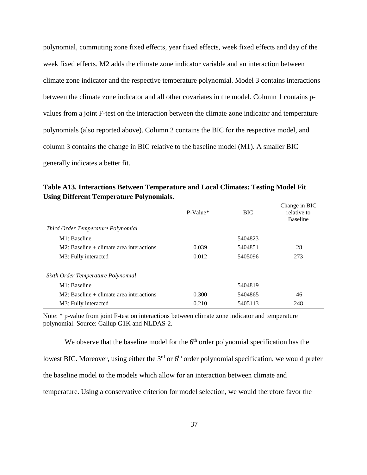polynomial, commuting zone fixed effects, year fixed effects, week fixed effects and day of the week fixed effects. M2 adds the climate zone indicator variable and an interaction between climate zone indicator and the respective temperature polynomial. Model 3 contains interactions between the climate zone indicator and all other covariates in the model. Column 1 contains pvalues from a joint F-test on the interaction between the climate zone indicator and temperature polynomials (also reported above). Column 2 contains the BIC for the respective model, and column 3 contains the change in BIC relative to the baseline model (M1). A smaller BIC generally indicates a better fit.

**Table A13. Interactions Between Temperature and Local Climates: Testing Model Fit Using Different Temperature Polynomials.**

|                                             | $P-Value*$ | <b>BIC</b> | Change in BIC<br>relative to<br><b>Baseline</b> |
|---------------------------------------------|------------|------------|-------------------------------------------------|
| Third Order Temperature Polynomial          |            |            |                                                 |
| M1: Baseline                                |            | 5404823    |                                                 |
| $M2$ : Baseline + climate area interactions | 0.039      | 5404851    | 28                                              |
| M3: Fully interacted                        | 0.012      | 5405096    | 273                                             |
| Sixth Order Temperature Polynomial          |            |            |                                                 |
| M1: Baseline                                |            | 5404819    |                                                 |
| $M2$ : Baseline + climate area interactions | 0.300      | 5404865    | 46                                              |
| M3: Fully interacted                        | 0.210      | 5405113    | 248                                             |

Note: \* p-value from joint F-test on interactions between climate zone indicator and temperature polynomial. Source: Gallup G1K and NLDAS-2.

<span id="page-58-0"></span>We observe that the baseline model for the  $6<sup>th</sup>$  order polynomial specification has the lowest BIC. Moreover, using either the  $3<sup>rd</sup>$  or 6<sup>th</sup> order polynomial specification, we would prefer the baseline model to the models which allow for an interaction between climate and temperature. Using a conservative criterion for model selection, we would therefore favor the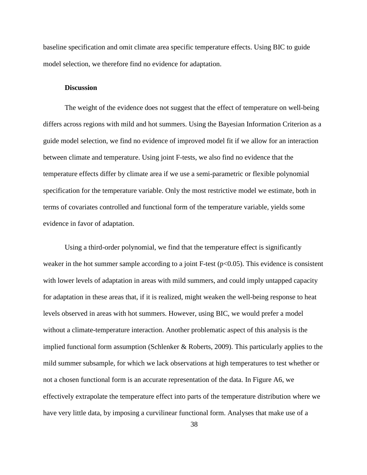baseline specification and omit climate area specific temperature effects. Using BIC to guide model selection, we therefore find no evidence for adaptation.

#### **Discussion**

The weight of the evidence does not suggest that the effect of temperature on well-being differs across regions with mild and hot summers. Using the Bayesian Information Criterion as a guide model selection, we find no evidence of improved model fit if we allow for an interaction between climate and temperature. Using joint F-tests, we also find no evidence that the temperature effects differ by climate area if we use a semi-parametric or flexible polynomial specification for the temperature variable. Only the most restrictive model we estimate, both in terms of covariates controlled and functional form of the temperature variable, yields some evidence in favor of adaptation.

Using a third-order polynomial, we find that the temperature effect is significantly weaker in the hot summer sample according to a joint F-test ( $p<0.05$ ). This evidence is consistent with lower levels of adaptation in areas with mild summers, and could imply untapped capacity for adaptation in these areas that, if it is realized, might weaken the well-being response to heat levels observed in areas with hot summers. However, using BIC, we would prefer a model without a climate-temperature interaction. Another problematic aspect of this analysis is the implied functional form assumption (Schlenker & Roberts, 2009). This particularly applies to the mild summer subsample, for which we lack observations at high temperatures to test whether or not a chosen functional form is an accurate representation of the data. In Figure A6, we effectively extrapolate the temperature effect into parts of the temperature distribution where we have very little data, by imposing a curvilinear functional form. Analyses that make use of a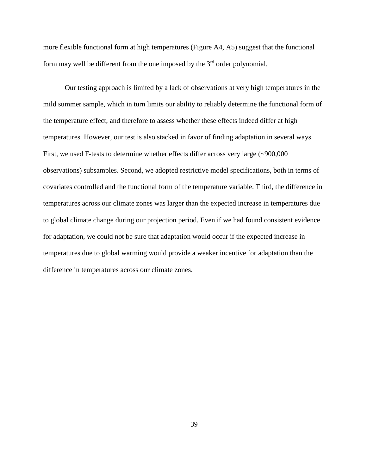more flexible functional form at high temperatures (Figure A4, A5) suggest that the functional form may well be different from the one imposed by the  $3<sup>rd</sup>$  order polynomial.

Our testing approach is limited by a lack of observations at very high temperatures in the mild summer sample, which in turn limits our ability to reliably determine the functional form of the temperature effect, and therefore to assess whether these effects indeed differ at high temperatures. However, our test is also stacked in favor of finding adaptation in several ways. First, we used F-tests to determine whether effects differ across very large (~900,000 observations) subsamples. Second, we adopted restrictive model specifications, both in terms of covariates controlled and the functional form of the temperature variable. Third, the difference in temperatures across our climate zones was larger than the expected increase in temperatures due to global climate change during our projection period. Even if we had found consistent evidence for adaptation, we could not be sure that adaptation would occur if the expected increase in temperatures due to global warming would provide a weaker incentive for adaptation than the difference in temperatures across our climate zones.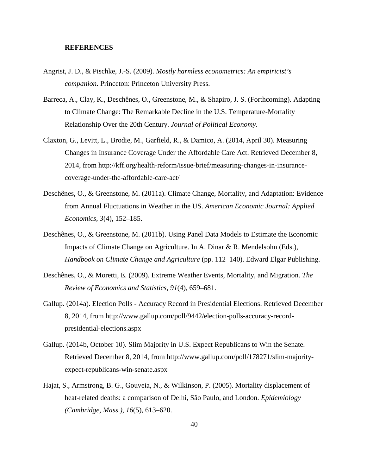### <span id="page-61-0"></span>**REFERENCES**

- Angrist, J. D., & Pischke, J.-S. (2009). *Mostly harmless econometrics: An empiricist's companion*. Princeton: Princeton University Press.
- Barreca, A., Clay, K., Deschênes, O., Greenstone, M., & Shapiro, J. S. (Forthcoming). Adapting to Climate Change: The Remarkable Decline in the U.S. Temperature-Mortality Relationship Over the 20th Century. *Journal of Political Economy*.
- Claxton, G., Levitt, L., Brodie, M., Garfield, R., & Damico, A. (2014, April 30). Measuring Changes in Insurance Coverage Under the Affordable Care Act. Retrieved December 8, 2014, from http://kff.org/health-reform/issue-brief/measuring-changes-in-insurancecoverage-under-the-affordable-care-act/
- Deschênes, O., & Greenstone, M. (2011a). Climate Change, Mortality, and Adaptation: Evidence from Annual Fluctuations in Weather in the US. *American Economic Journal: Applied Economics*, *3*(4), 152–185.
- Deschênes, O., & Greenstone, M. (2011b). Using Panel Data Models to Estimate the Economic Impacts of Climate Change on Agriculture. In A. Dinar & R. Mendelsohn (Eds.), *Handbook on Climate Change and Agriculture* (pp. 112–140). Edward Elgar Publishing.
- Deschênes, O., & Moretti, E. (2009). Extreme Weather Events, Mortality, and Migration. *The Review of Economics and Statistics*, *91*(4), 659–681.
- Gallup. (2014a). Election Polls Accuracy Record in Presidential Elections. Retrieved December 8, 2014, from http://www.gallup.com/poll/9442/election-polls-accuracy-recordpresidential-elections.aspx
- Gallup. (2014b, October 10). Slim Majority in U.S. Expect Republicans to Win the Senate. Retrieved December 8, 2014, from http://www.gallup.com/poll/178271/slim-majorityexpect-republicans-win-senate.aspx
- Hajat, S., Armstrong, B. G., Gouveia, N., & Wilkinson, P. (2005). Mortality displacement of heat-related deaths: a comparison of Delhi, São Paulo, and London. *Epidemiology (Cambridge, Mass.)*, *16*(5), 613–620.